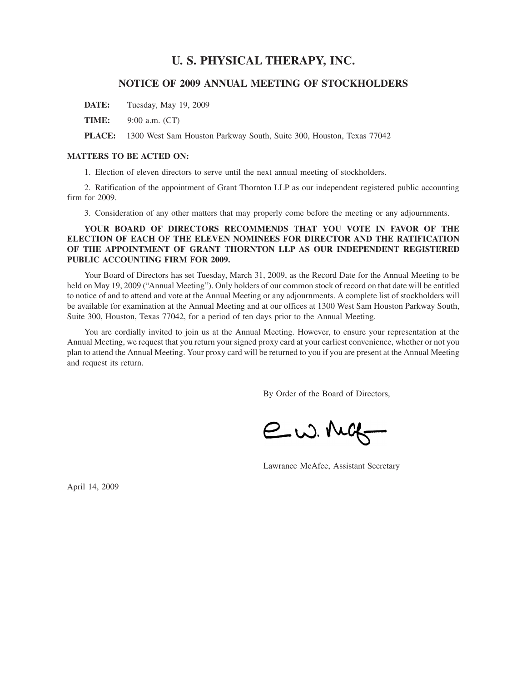# **U. S. PHYSICAL THERAPY, INC.**

# **NOTICE OF 2009 ANNUAL MEETING OF STOCKHOLDERS**

**DATE:** Tuesday, May 19, 2009

**TIME:** 9:00 a.m. (CT)

**PLACE:** 1300 West Sam Houston Parkway South, Suite 300, Houston, Texas 77042

# **MATTERS TO BE ACTED ON:**

1. Election of eleven directors to serve until the next annual meeting of stockholders.

2. Ratification of the appointment of Grant Thornton LLP as our independent registered public accounting firm for 2009.

3. Consideration of any other matters that may properly come before the meeting or any adjournments.

**YOUR BOARD OF DIRECTORS RECOMMENDS THAT YOU VOTE IN FAVOR OF THE ELECTION OF EACH OF THE ELEVEN NOMINEES FOR DIRECTOR AND THE RATIFICATION OF THE APPOINTMENT OF GRANT THORNTON LLP AS OUR INDEPENDENT REGISTERED PUBLIC ACCOUNTING FIRM FOR 2009.**

Your Board of Directors has set Tuesday, March 31, 2009, as the Record Date for the Annual Meeting to be held on May 19, 2009 ("Annual Meeting"). Only holders of our common stock of record on that date will be entitled to notice of and to attend and vote at the Annual Meeting or any adjournments. A complete list of stockholders will be available for examination at the Annual Meeting and at our offices at 1300 West Sam Houston Parkway South, Suite 300, Houston, Texas 77042, for a period of ten days prior to the Annual Meeting.

You are cordially invited to join us at the Annual Meeting. However, to ensure your representation at the Annual Meeting, we request that you return your signed proxy card at your earliest convenience, whether or not you plan to attend the Annual Meeting. Your proxy card will be returned to you if you are present at the Annual Meeting and request its return.

By Order of the Board of Directors,

e w. Mag

Lawrance McAfee, Assistant Secretary

April 14, 2009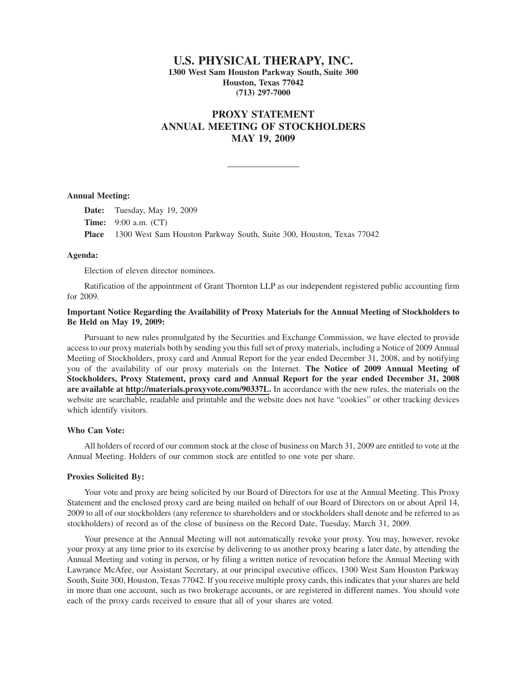# **U.S. PHYSICAL THERAPY, INC. 1300 West Sam Houston Parkway South, Suite 300 Houston, Texas 77042 (713) 297-7000**

# **PROXY STATEMENT ANNUAL MEETING OF STOCKHOLDERS MAY 19, 2009**

### **Annual Meeting:**

**Date:** Tuesday, May 19, 2009 **Time:** 9:00 a.m. (CT) **Place** 1300 West Sam Houston Parkway South, Suite 300, Houston, Texas 77042

# **Agenda:**

Election of eleven director nominees.

Ratification of the appointment of Grant Thornton LLP as our independent registered public accounting firm for 2009.

# **Important Notice Regarding the Availability of Proxy Materials for the Annual Meeting of Stockholders to Be Held on May 19, 2009:**

Pursuant to new rules promulgated by the Securities and Exchange Commission, we have elected to provide access to our proxy materials both by sending you this full set of proxy materials, including a Notice of 2009 Annual Meeting of Stockholders, proxy card and Annual Report for the year ended December 31, 2008, and by notifying you of the availability of our proxy materials on the Internet. **The Notice of 2009 Annual Meeting of Stockholders, Proxy Statement, proxy card and Annual Report for the year ended December 31, 2008 are available at http://materials.proxyvote.com/90337L.** In accordance with the new rules, the materials on the website are searchable, readable and printable and the website does not have "cookies" or other tracking devices which identify visitors.

# **Who Can Vote:**

All holders of record of our common stock at the close of business on March 31, 2009 are entitled to vote at the Annual Meeting. Holders of our common stock are entitled to one vote per share.

# **Proxies Solicited By:**

Your vote and proxy are being solicited by our Board of Directors for use at the Annual Meeting. This Proxy Statement and the enclosed proxy card are being mailed on behalf of our Board of Directors on or about April 14, 2009 to all of our stockholders (any reference to shareholders and or stockholders shall denote and be referred to as stockholders) of record as of the close of business on the Record Date, Tuesday, March 31, 2009.

Your presence at the Annual Meeting will not automatically revoke your proxy. You may, however, revoke your proxy at any time prior to its exercise by delivering to us another proxy bearing a later date, by attending the Annual Meeting and voting in person, or by filing a written notice of revocation before the Annual Meeting with Lawrance McAfee, our Assistant Secretary, at our principal executive offices, 1300 West Sam Houston Parkway South, Suite 300, Houston, Texas 77042. If you receive multiple proxy cards, this indicates that your shares are held in more than one account, such as two brokerage accounts, or are registered in different names. You should vote each of the proxy cards received to ensure that all of your shares are voted.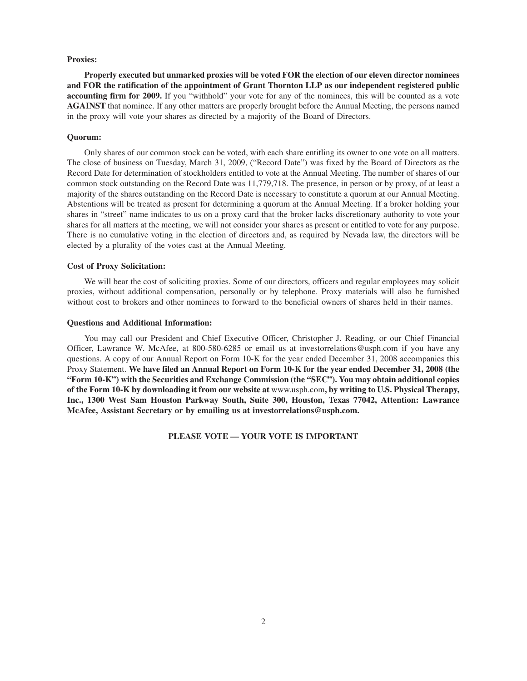# **Proxies:**

**Properly executed but unmarked proxies will be voted FOR the election of our eleven director nominees and FOR the ratification of the appointment of Grant Thornton LLP as our independent registered public accounting firm for 2009.** If you "withhold" your vote for any of the nominees, this will be counted as a vote **AGAINST** that nominee. If any other matters are properly brought before the Annual Meeting, the persons named in the proxy will vote your shares as directed by a majority of the Board of Directors.

# **Quorum:**

Only shares of our common stock can be voted, with each share entitling its owner to one vote on all matters. The close of business on Tuesday, March 31, 2009, ("Record Date") was fixed by the Board of Directors as the Record Date for determination of stockholders entitled to vote at the Annual Meeting. The number of shares of our common stock outstanding on the Record Date was 11,779,718. The presence, in person or by proxy, of at least a majority of the shares outstanding on the Record Date is necessary to constitute a quorum at our Annual Meeting. Abstentions will be treated as present for determining a quorum at the Annual Meeting. If a broker holding your shares in "street" name indicates to us on a proxy card that the broker lacks discretionary authority to vote your shares for all matters at the meeting, we will not consider your shares as present or entitled to vote for any purpose. There is no cumulative voting in the election of directors and, as required by Nevada law, the directors will be elected by a plurality of the votes cast at the Annual Meeting.

# **Cost of Proxy Solicitation:**

We will bear the cost of soliciting proxies. Some of our directors, officers and regular employees may solicit proxies, without additional compensation, personally or by telephone. Proxy materials will also be furnished without cost to brokers and other nominees to forward to the beneficial owners of shares held in their names.

### **Questions and Additional Information:**

You may call our President and Chief Executive Officer, Christopher J. Reading, or our Chief Financial Officer, Lawrance W. McAfee, at 800-580-6285 or email us at investorrelations@usph.com if you have any questions. A copy of our Annual Report on Form 10-K for the year ended December 31, 2008 accompanies this Proxy Statement. **We have filed an Annual Report on Form 10-K for the year ended December 31, 2008 (the "Form 10-K") with the Securities and Exchange Commission (the "SEC"). You may obtain additional copies of the Form 10-K by downloading it from our website at** www.usph.com**, by writing to U.S. Physical Therapy, Inc., 1300 West Sam Houston Parkway South, Suite 300, Houston, Texas 77042, Attention: Lawrance McAfee, Assistant Secretary or by emailing us at investorrelations@usph.com.**

**PLEASE VOTE — YOUR VOTE IS IMPORTANT**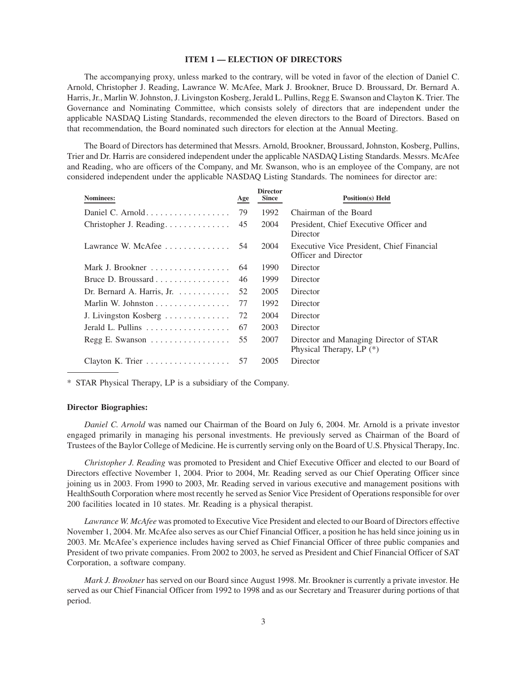# **ITEM 1 — ELECTION OF DIRECTORS**

The accompanying proxy, unless marked to the contrary, will be voted in favor of the election of Daniel C. Arnold, Christopher J. Reading, Lawrance W. McAfee, Mark J. Brookner, Bruce D. Broussard, Dr. Bernard A. Harris, Jr., Marlin W. Johnston, J. Livingston Kosberg, Jerald L. Pullins, Regg E. Swanson and Clayton K. Trier. The Governance and Nominating Committee, which consists solely of directors that are independent under the applicable NASDAQ Listing Standards, recommended the eleven directors to the Board of Directors. Based on that recommendation, the Board nominated such directors for election at the Annual Meeting.

The Board of Directors has determined that Messrs. Arnold, Brookner, Broussard, Johnston, Kosberg, Pullins, Trier and Dr. Harris are considered independent under the applicable NASDAQ Listing Standards. Messrs. McAfee and Reading, who are officers of the Company, and Mr. Swanson, who is an employee of the Company, are not considered independent under the applicable NASDAQ Listing Standards. The nominees for director are:

| Nominees:                                               | Age | <b>Director</b><br><b>Since</b> | <b>Position(s)</b> Held                                            |
|---------------------------------------------------------|-----|---------------------------------|--------------------------------------------------------------------|
|                                                         | 79  | 1992                            | Chairman of the Board                                              |
| Christopher J. Reading.                                 | 45  | 2004                            | President, Chief Executive Officer and<br>Director                 |
| Lawrance W. McAfee $\ldots \ldots \ldots \ldots$ 54     |     | 2004                            | Executive Vice President, Chief Financial<br>Officer and Director  |
| Mark J. Brookner                                        | 64  | 1990                            | Director                                                           |
|                                                         | 46  | 1999                            | Director                                                           |
| Dr. Bernard A. Harris, Jr. $\dots \dots \dots$          | 52  | 2005                            | Director                                                           |
|                                                         | 77  | 1992                            | Director                                                           |
| J. Livingston Kosberg $\dots \dots \dots \dots$         | 72  | 2004                            | Director                                                           |
| Jerald L. Pullins $\dots \dots \dots \dots \dots \dots$ | 67  | 2003                            | Director                                                           |
| Regg E. Swanson                                         | 55  | 2007                            | Director and Managing Director of STAR<br>Physical Therapy, LP (*) |
| Clayton K. Trier $\dots \dots \dots \dots \dots$        | 57  | 2005                            | Director                                                           |
|                                                         |     |                                 |                                                                    |

\* STAR Physical Therapy, LP is a subsidiary of the Company.

### **Director Biographies:**

*Daniel C. Arnold* was named our Chairman of the Board on July 6, 2004. Mr. Arnold is a private investor engaged primarily in managing his personal investments. He previously served as Chairman of the Board of Trustees of the Baylor College of Medicine. He is currently serving only on the Board of U.S. Physical Therapy, Inc.

*Christopher J. Reading* was promoted to President and Chief Executive Officer and elected to our Board of Directors effective November 1, 2004. Prior to 2004, Mr. Reading served as our Chief Operating Officer since joining us in 2003. From 1990 to 2003, Mr. Reading served in various executive and management positions with HealthSouth Corporation where most recently he served as Senior Vice President of Operations responsible for over 200 facilities located in 10 states. Mr. Reading is a physical therapist.

*Lawrance W. McAfee* was promoted to Executive Vice President and elected to our Board of Directors effective November 1, 2004. Mr. McAfee also serves as our Chief Financial Officer, a position he has held since joining us in 2003. Mr. McAfee's experience includes having served as Chief Financial Officer of three public companies and President of two private companies. From 2002 to 2003, he served as President and Chief Financial Officer of SAT Corporation, a software company.

*Mark J. Brookner* has served on our Board since August 1998. Mr. Brookner is currently a private investor. He served as our Chief Financial Officer from 1992 to 1998 and as our Secretary and Treasurer during portions of that period.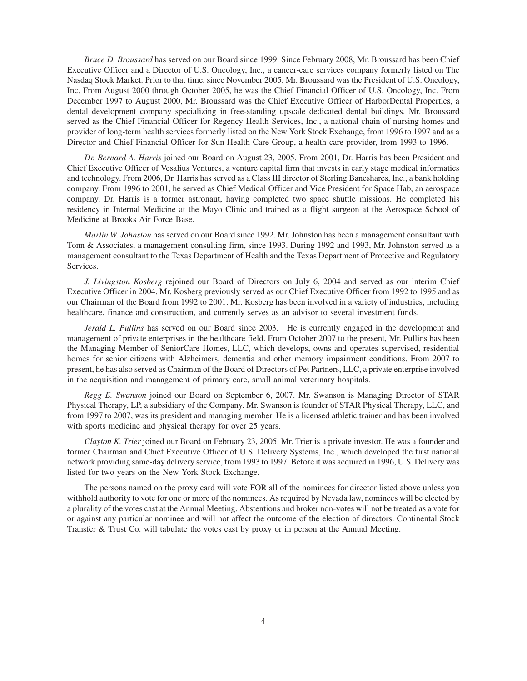*Bruce D. Broussard* has served on our Board since 1999. Since February 2008, Mr. Broussard has been Chief Executive Officer and a Director of U.S. Oncology, Inc., a cancer-care services company formerly listed on The Nasdaq Stock Market. Prior to that time, since November 2005, Mr. Broussard was the President of U.S. Oncology, Inc. From August 2000 through October 2005, he was the Chief Financial Officer of U.S. Oncology, Inc. From December 1997 to August 2000, Mr. Broussard was the Chief Executive Officer of HarborDental Properties, a dental development company specializing in free-standing upscale dedicated dental buildings. Mr. Broussard served as the Chief Financial Officer for Regency Health Services, Inc., a national chain of nursing homes and provider of long-term health services formerly listed on the New York Stock Exchange, from 1996 to 1997 and as a Director and Chief Financial Officer for Sun Health Care Group, a health care provider, from 1993 to 1996.

*Dr. Bernard A. Harris* joined our Board on August 23, 2005. From 2001, Dr. Harris has been President and Chief Executive Officer of Vesalius Ventures, a venture capital firm that invests in early stage medical informatics and technology. From 2006, Dr. Harris has served as a Class III director of Sterling Bancshares, Inc., a bank holding company. From 1996 to 2001, he served as Chief Medical Officer and Vice President for Space Hab, an aerospace company. Dr. Harris is a former astronaut, having completed two space shuttle missions. He completed his residency in Internal Medicine at the Mayo Clinic and trained as a flight surgeon at the Aerospace School of Medicine at Brooks Air Force Base.

*Marlin W. Johnston* has served on our Board since 1992. Mr. Johnston has been a management consultant with Tonn & Associates, a management consulting firm, since 1993. During 1992 and 1993, Mr. Johnston served as a management consultant to the Texas Department of Health and the Texas Department of Protective and Regulatory Services.

*J. Livingston Kosberg* rejoined our Board of Directors on July 6, 2004 and served as our interim Chief Executive Officer in 2004. Mr. Kosberg previously served as our Chief Executive Officer from 1992 to 1995 and as our Chairman of the Board from 1992 to 2001. Mr. Kosberg has been involved in a variety of industries, including healthcare, finance and construction, and currently serves as an advisor to several investment funds.

*Jerald L. Pullins* has served on our Board since 2003. He is currently engaged in the development and management of private enterprises in the healthcare field. From October 2007 to the present, Mr. Pullins has been the Managing Member of SeniorCare Homes, LLC, which develops, owns and operates supervised, residential homes for senior citizens with Alzheimers, dementia and other memory impairment conditions. From 2007 to present, he has also served as Chairman of the Board of Directors of Pet Partners, LLC, a private enterprise involved in the acquisition and management of primary care, small animal veterinary hospitals.

*Regg E. Swanson* joined our Board on September 6, 2007. Mr. Swanson is Managing Director of STAR Physical Therapy, LP, a subsidiary of the Company. Mr. Swanson is founder of STAR Physical Therapy, LLC, and from 1997 to 2007, was its president and managing member. He is a licensed athletic trainer and has been involved with sports medicine and physical therapy for over 25 years.

*Clayton K. Trier* joined our Board on February 23, 2005. Mr. Trier is a private investor. He was a founder and former Chairman and Chief Executive Officer of U.S. Delivery Systems, Inc., which developed the first national network providing same-day delivery service, from 1993 to 1997. Before it was acquired in 1996, U.S. Delivery was listed for two years on the New York Stock Exchange.

The persons named on the proxy card will vote FOR all of the nominees for director listed above unless you withhold authority to vote for one or more of the nominees. As required by Nevada law, nominees will be elected by a plurality of the votes cast at the Annual Meeting. Abstentions and broker non-votes will not be treated as a vote for or against any particular nominee and will not affect the outcome of the election of directors. Continental Stock Transfer & Trust Co. will tabulate the votes cast by proxy or in person at the Annual Meeting.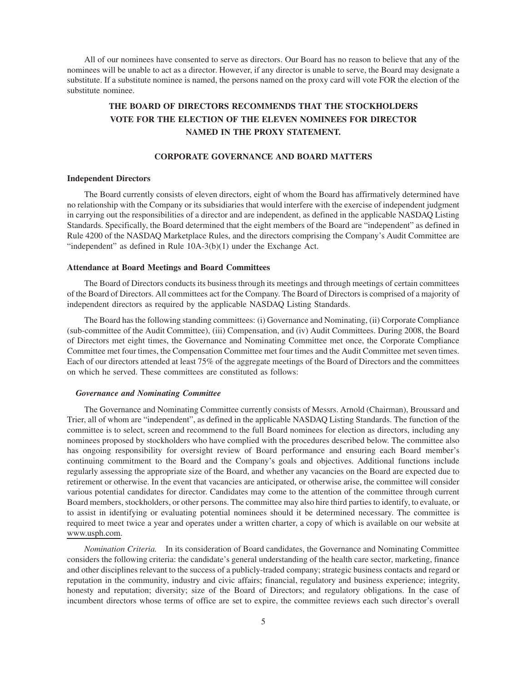All of our nominees have consented to serve as directors. Our Board has no reason to believe that any of the nominees will be unable to act as a director. However, if any director is unable to serve, the Board may designate a substitute. If a substitute nominee is named, the persons named on the proxy card will vote FOR the election of the substitute nominee.

# **THE BOARD OF DIRECTORS RECOMMENDS THAT THE STOCKHOLDERS VOTE FOR THE ELECTION OF THE ELEVEN NOMINEES FOR DIRECTOR NAMED IN THE PROXY STATEMENT.**

# **CORPORATE GOVERNANCE AND BOARD MATTERS**

### **Independent Directors**

The Board currently consists of eleven directors, eight of whom the Board has affirmatively determined have no relationship with the Company or its subsidiaries that would interfere with the exercise of independent judgment in carrying out the responsibilities of a director and are independent, as defined in the applicable NASDAQ Listing Standards. Specifically, the Board determined that the eight members of the Board are "independent" as defined in Rule 4200 of the NASDAQ Marketplace Rules, and the directors comprising the Company's Audit Committee are "independent" as defined in Rule 10A-3(b)(1) under the Exchange Act.

#### **Attendance at Board Meetings and Board Committees**

The Board of Directors conducts its business through its meetings and through meetings of certain committees of the Board of Directors. All committees act for the Company. The Board of Directors is comprised of a majority of independent directors as required by the applicable NASDAQ Listing Standards.

The Board has the following standing committees: (i) Governance and Nominating, (ii) Corporate Compliance (sub-committee of the Audit Committee), (iii) Compensation, and (iv) Audit Committees. During 2008, the Board of Directors met eight times, the Governance and Nominating Committee met once, the Corporate Compliance Committee met four times, the Compensation Committee met four times and the Audit Committee met seven times. Each of our directors attended at least 75% of the aggregate meetings of the Board of Directors and the committees on which he served. These committees are constituted as follows:

### *Governance and Nominating Committee*

The Governance and Nominating Committee currently consists of Messrs. Arnold (Chairman), Broussard and Trier, all of whom are "independent", as defined in the applicable NASDAQ Listing Standards. The function of the committee is to select, screen and recommend to the full Board nominees for election as directors, including any nominees proposed by stockholders who have complied with the procedures described below. The committee also has ongoing responsibility for oversight review of Board performance and ensuring each Board member's continuing commitment to the Board and the Company's goals and objectives. Additional functions include regularly assessing the appropriate size of the Board, and whether any vacancies on the Board are expected due to retirement or otherwise. In the event that vacancies are anticipated, or otherwise arise, the committee will consider various potential candidates for director. Candidates may come to the attention of the committee through current Board members, stockholders, or other persons. The committee may also hire third parties to identify, to evaluate, or to assist in identifying or evaluating potential nominees should it be determined necessary. The committee is required to meet twice a year and operates under a written charter, a copy of which is available on our website at www.usph.com.

*Nomination Criteria.* In its consideration of Board candidates, the Governance and Nominating Committee considers the following criteria: the candidate's general understanding of the health care sector, marketing, finance and other disciplines relevant to the success of a publicly-traded company; strategic business contacts and regard or reputation in the community, industry and civic affairs; financial, regulatory and business experience; integrity, honesty and reputation; diversity; size of the Board of Directors; and regulatory obligations. In the case of incumbent directors whose terms of office are set to expire, the committee reviews each such director's overall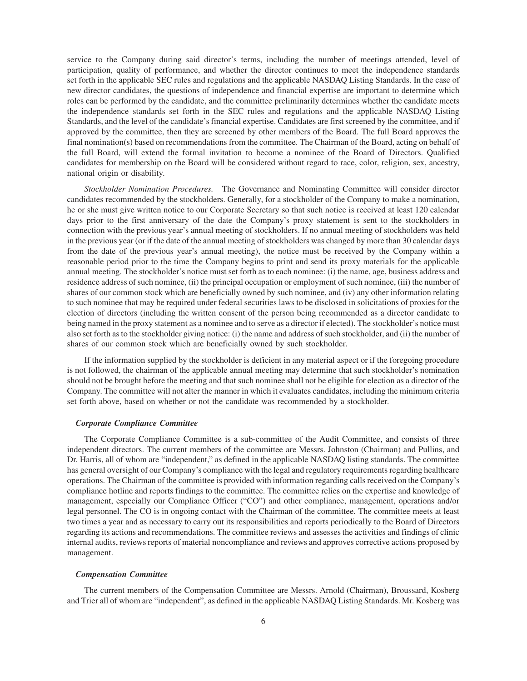service to the Company during said director's terms, including the number of meetings attended, level of participation, quality of performance, and whether the director continues to meet the independence standards set forth in the applicable SEC rules and regulations and the applicable NASDAQ Listing Standards. In the case of new director candidates, the questions of independence and financial expertise are important to determine which roles can be performed by the candidate, and the committee preliminarily determines whether the candidate meets the independence standards set forth in the SEC rules and regulations and the applicable NASDAQ Listing Standards, and the level of the candidate's financial expertise. Candidates are first screened by the committee, and if approved by the committee, then they are screened by other members of the Board. The full Board approves the final nomination(s) based on recommendations from the committee. The Chairman of the Board, acting on behalf of the full Board, will extend the formal invitation to become a nominee of the Board of Directors. Qualified candidates for membership on the Board will be considered without regard to race, color, religion, sex, ancestry, national origin or disability.

*Stockholder Nomination Procedures.* The Governance and Nominating Committee will consider director candidates recommended by the stockholders. Generally, for a stockholder of the Company to make a nomination, he or she must give written notice to our Corporate Secretary so that such notice is received at least 120 calendar days prior to the first anniversary of the date the Company's proxy statement is sent to the stockholders in connection with the previous year's annual meeting of stockholders. If no annual meeting of stockholders was held in the previous year (or if the date of the annual meeting of stockholders was changed by more than 30 calendar days from the date of the previous year's annual meeting), the notice must be received by the Company within a reasonable period prior to the time the Company begins to print and send its proxy materials for the applicable annual meeting. The stockholder's notice must set forth as to each nominee: (i) the name, age, business address and residence address of such nominee, (ii) the principal occupation or employment of such nominee, (iii) the number of shares of our common stock which are beneficially owned by such nominee, and (iv) any other information relating to such nominee that may be required under federal securities laws to be disclosed in solicitations of proxies for the election of directors (including the written consent of the person being recommended as a director candidate to being named in the proxy statement as a nominee and to serve as a director if elected). The stockholder's notice must also set forth as to the stockholder giving notice: (i) the name and address of such stockholder, and (ii) the number of shares of our common stock which are beneficially owned by such stockholder.

If the information supplied by the stockholder is deficient in any material aspect or if the foregoing procedure is not followed, the chairman of the applicable annual meeting may determine that such stockholder's nomination should not be brought before the meeting and that such nominee shall not be eligible for election as a director of the Company. The committee will not alter the manner in which it evaluates candidates, including the minimum criteria set forth above, based on whether or not the candidate was recommended by a stockholder.

## *Corporate Compliance Committee*

The Corporate Compliance Committee is a sub-committee of the Audit Committee, and consists of three independent directors. The current members of the committee are Messrs. Johnston (Chairman) and Pullins, and Dr. Harris, all of whom are "independent," as defined in the applicable NASDAQ listing standards. The committee has general oversight of our Company's compliance with the legal and regulatory requirements regarding healthcare operations. The Chairman of the committee is provided with information regarding calls received on the Company's compliance hotline and reports findings to the committee. The committee relies on the expertise and knowledge of management, especially our Compliance Officer ("CO") and other compliance, management, operations and/or legal personnel. The CO is in ongoing contact with the Chairman of the committee. The committee meets at least two times a year and as necessary to carry out its responsibilities and reports periodically to the Board of Directors regarding its actions and recommendations. The committee reviews and assesses the activities and findings of clinic internal audits, reviews reports of material noncompliance and reviews and approves corrective actions proposed by management.

#### *Compensation Committee*

The current members of the Compensation Committee are Messrs. Arnold (Chairman), Broussard, Kosberg and Trier all of whom are "independent", as defined in the applicable NASDAQ Listing Standards. Mr. Kosberg was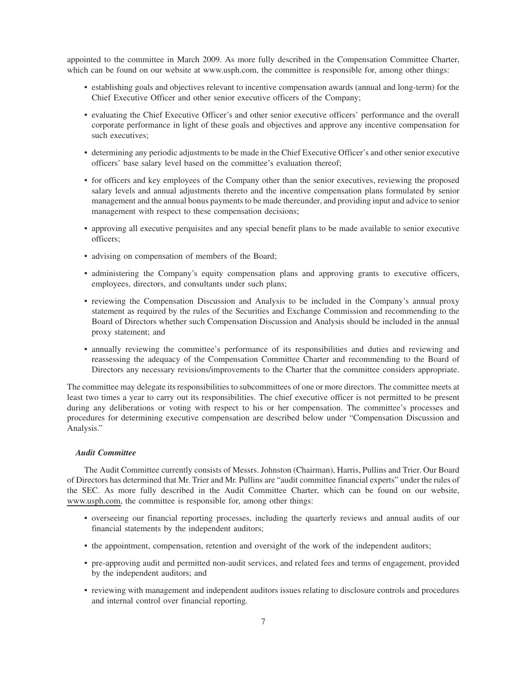appointed to the committee in March 2009. As more fully described in the Compensation Committee Charter, which can be found on our website at www.usph.com, the committee is responsible for, among other things:

- establishing goals and objectives relevant to incentive compensation awards (annual and long-term) for the Chief Executive Officer and other senior executive officers of the Company;
- evaluating the Chief Executive Officer's and other senior executive officers' performance and the overall corporate performance in light of these goals and objectives and approve any incentive compensation for such executives;
- determining any periodic adjustments to be made in the Chief Executive Officer's and other senior executive officers' base salary level based on the committee's evaluation thereof;
- for officers and key employees of the Company other than the senior executives, reviewing the proposed salary levels and annual adjustments thereto and the incentive compensation plans formulated by senior management and the annual bonus payments to be made thereunder, and providing input and advice to senior management with respect to these compensation decisions;
- approving all executive perquisites and any special benefit plans to be made available to senior executive officers;
- advising on compensation of members of the Board;
- administering the Company's equity compensation plans and approving grants to executive officers, employees, directors, and consultants under such plans;
- reviewing the Compensation Discussion and Analysis to be included in the Company's annual proxy statement as required by the rules of the Securities and Exchange Commission and recommending to the Board of Directors whether such Compensation Discussion and Analysis should be included in the annual proxy statement; and
- annually reviewing the committee's performance of its responsibilities and duties and reviewing and reassessing the adequacy of the Compensation Committee Charter and recommending to the Board of Directors any necessary revisions/improvements to the Charter that the committee considers appropriate.

The committee may delegate its responsibilities to subcommittees of one or more directors. The committee meets at least two times a year to carry out its responsibilities. The chief executive officer is not permitted to be present during any deliberations or voting with respect to his or her compensation. The committee's processes and procedures for determining executive compensation are described below under "Compensation Discussion and Analysis."

### *Audit Committee*

The Audit Committee currently consists of Messrs. Johnston (Chairman), Harris, Pullins and Trier. Our Board of Directors has determined that Mr. Trier and Mr. Pullins are "audit committee financial experts" under the rules of the SEC. As more fully described in the Audit Committee Charter, which can be found on our website, www.usph.com, the committee is responsible for, among other things:

- overseeing our financial reporting processes, including the quarterly reviews and annual audits of our financial statements by the independent auditors;
- the appointment, compensation, retention and oversight of the work of the independent auditors;
- pre-approving audit and permitted non-audit services, and related fees and terms of engagement, provided by the independent auditors; and
- reviewing with management and independent auditors issues relating to disclosure controls and procedures and internal control over financial reporting.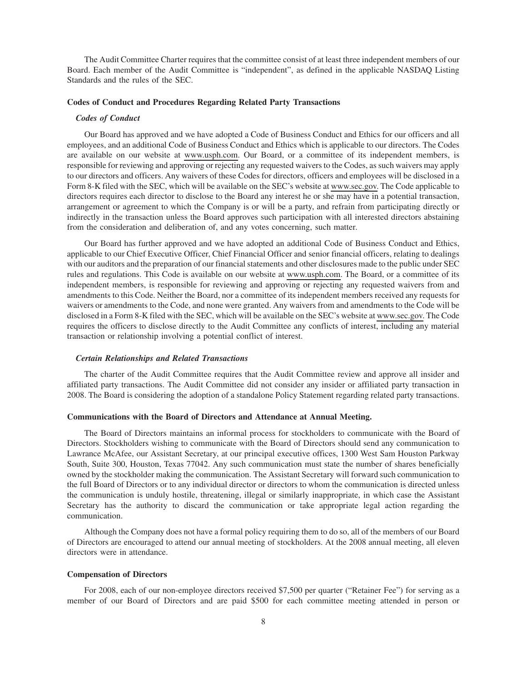The Audit Committee Charter requires that the committee consist of at least three independent members of our Board. Each member of the Audit Committee is "independent", as defined in the applicable NASDAQ Listing Standards and the rules of the SEC.

#### **Codes of Conduct and Procedures Regarding Related Party Transactions**

### *Codes of Conduct*

Our Board has approved and we have adopted a Code of Business Conduct and Ethics for our officers and all employees, and an additional Code of Business Conduct and Ethics which is applicable to our directors. The Codes are available on our website at www.usph.com. Our Board, or a committee of its independent members, is responsible for reviewing and approving or rejecting any requested waivers to the Codes, as such waivers may apply to our directors and officers. Any waivers of these Codes for directors, officers and employees will be disclosed in a Form 8-K filed with the SEC, which will be available on the SEC's website at www.sec.gov. The Code applicable to directors requires each director to disclose to the Board any interest he or she may have in a potential transaction, arrangement or agreement to which the Company is or will be a party, and refrain from participating directly or indirectly in the transaction unless the Board approves such participation with all interested directors abstaining from the consideration and deliberation of, and any votes concerning, such matter.

Our Board has further approved and we have adopted an additional Code of Business Conduct and Ethics, applicable to our Chief Executive Officer, Chief Financial Officer and senior financial officers, relating to dealings with our auditors and the preparation of our financial statements and other disclosures made to the public under SEC rules and regulations. This Code is available on our website at www.usph.com. The Board, or a committee of its independent members, is responsible for reviewing and approving or rejecting any requested waivers from and amendments to this Code. Neither the Board, nor a committee of its independent members received any requests for waivers or amendments to the Code, and none were granted. Any waivers from and amendments to the Code will be disclosed in a Form 8-K filed with the SEC, which will be available on the SEC's website at www.sec.gov. The Code requires the officers to disclose directly to the Audit Committee any conflicts of interest, including any material transaction or relationship involving a potential conflict of interest.

#### *Certain Relationships and Related Transactions*

The charter of the Audit Committee requires that the Audit Committee review and approve all insider and affiliated party transactions. The Audit Committee did not consider any insider or affiliated party transaction in 2008. The Board is considering the adoption of a standalone Policy Statement regarding related party transactions.

#### **Communications with the Board of Directors and Attendance at Annual Meeting.**

The Board of Directors maintains an informal process for stockholders to communicate with the Board of Directors. Stockholders wishing to communicate with the Board of Directors should send any communication to Lawrance McAfee, our Assistant Secretary, at our principal executive offices, 1300 West Sam Houston Parkway South, Suite 300, Houston, Texas 77042. Any such communication must state the number of shares beneficially owned by the stockholder making the communication. The Assistant Secretary will forward such communication to the full Board of Directors or to any individual director or directors to whom the communication is directed unless the communication is unduly hostile, threatening, illegal or similarly inappropriate, in which case the Assistant Secretary has the authority to discard the communication or take appropriate legal action regarding the communication.

Although the Company does not have a formal policy requiring them to do so, all of the members of our Board of Directors are encouraged to attend our annual meeting of stockholders. At the 2008 annual meeting, all eleven directors were in attendance.

#### **Compensation of Directors**

For 2008, each of our non-employee directors received \$7,500 per quarter ("Retainer Fee") for serving as a member of our Board of Directors and are paid \$500 for each committee meeting attended in person or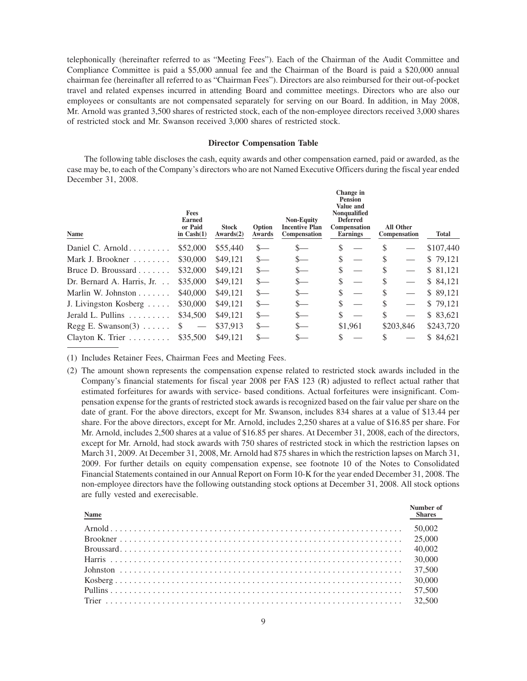telephonically (hereinafter referred to as "Meeting Fees"). Each of the Chairman of the Audit Committee and Compliance Committee is paid a \$5,000 annual fee and the Chairman of the Board is paid a \$20,000 annual chairman fee (hereinafter all referred to as "Chairman Fees"). Directors are also reimbursed for their out-of-pocket travel and related expenses incurred in attending Board and committee meetings. Directors who are also our employees or consultants are not compensated separately for serving on our Board. In addition, in May 2008, Mr. Arnold was granted 3,500 shares of restricted stock, each of the non-employee directors received 3,000 shares of restricted stock and Mr. Swanson received 3,000 shares of restricted stock.

# **Director Compensation Table**

The following table discloses the cash, equity awards and other compensation earned, paid or awarded, as the case may be, to each of the Company's directors who are not Named Executive Officers during the fiscal year ended December 31, 2008.

| <b>Fees</b><br>Earned<br>or Paid<br>in $Cash(1)$ | <b>Stock</b><br>Awards(2) | Option<br>Awards | <b>Non-Equity</b><br><b>Incentive Plan</b><br>Compensation | Change in<br><b>Pension</b><br>Value and<br>Nonqualified<br><b>Deferred</b><br><b>Compensation</b><br><b>Earnings</b> | <b>All Other</b><br>Compensation | Total     |
|--------------------------------------------------|---------------------------|------------------|------------------------------------------------------------|-----------------------------------------------------------------------------------------------------------------------|----------------------------------|-----------|
| \$52,000                                         | \$55,440                  | $s-$             | $S-$                                                       | \$                                                                                                                    | S                                | \$107,440 |
| \$30,000                                         | \$49,121                  | $S-$             | $S-$                                                       | \$                                                                                                                    | \$                               | \$79,121  |
| \$32,000                                         | \$49,121                  | $S-$             | $s-$                                                       | \$                                                                                                                    | \$                               | \$ 81,121 |
| \$35,000                                         | \$49,121                  | $S-$             | $S-$                                                       | \$                                                                                                                    | S                                | \$ 84,121 |
| \$40,000                                         | \$49,121                  | $S-$             | $S-$                                                       | \$<br>$\overline{\phantom{0}}$                                                                                        | \$                               | \$89,121  |
| \$30,000                                         | \$49,121                  | $S-$             | $s-$                                                       | \$<br>$\overline{\phantom{0}}$                                                                                        | \$                               | \$79,121  |
| \$34,500                                         | \$49,121                  | $S-$             | $S-$                                                       | \$                                                                                                                    | \$                               | \$83,621  |
| S.                                               | \$37.913                  | $S-$             | $S-$                                                       | \$1,961                                                                                                               | \$203,846                        | \$243,720 |
| \$35,500                                         | \$49,121                  | $S-$             | $S-$                                                       | S                                                                                                                     |                                  | \$ 84,621 |
|                                                  |                           |                  |                                                            |                                                                                                                       |                                  |           |

(1) Includes Retainer Fees, Chairman Fees and Meeting Fees.

(2) The amount shown represents the compensation expense related to restricted stock awards included in the Company's financial statements for fiscal year 2008 per FAS 123 (R) adjusted to reflect actual rather that estimated forfeitures for awards with service- based conditions. Actual forfeitures were insignificant. Compensation expense for the grants of restricted stock awards is recognized based on the fair value per share on the date of grant. For the above directors, except for Mr. Swanson, includes 834 shares at a value of \$13.44 per share. For the above directors, except for Mr. Arnold, includes 2,250 shares at a value of \$16.85 per share. For Mr. Arnold, includes 2,500 shares at a value of \$16.85 per shares. At December 31, 2008, each of the directors, except for Mr. Arnold, had stock awards with 750 shares of restricted stock in which the restriction lapses on March 31, 2009. At December 31, 2008, Mr. Arnold had 875 shares in which the restriction lapses on March 31, 2009. For further details on equity compensation expense, see footnote 10 of the Notes to Consolidated Financial Statements contained in our Annual Report on Form 10-K for the year ended December 31, 2008. The non-employee directors have the following outstanding stock options at December 31, 2008. All stock options are fully vested and exerecisable.

| Name | Number of<br>Shares |
|------|---------------------|
|      |                     |
|      |                     |
|      |                     |
|      |                     |
|      |                     |
|      |                     |
|      |                     |
|      |                     |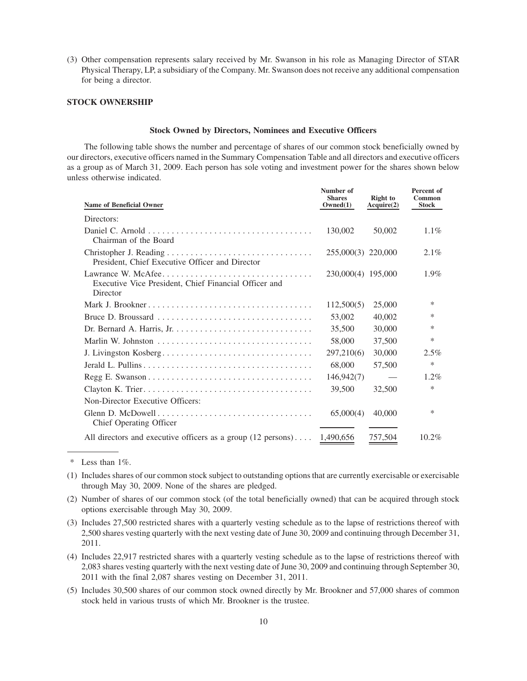(3) Other compensation represents salary received by Mr. Swanson in his role as Managing Director of STAR Physical Therapy, LP, a subsidiary of the Company. Mr. Swanson does not receive any additional compensation for being a director.

### **STOCK OWNERSHIP**

#### **Stock Owned by Directors, Nominees and Executive Officers**

The following table shows the number and percentage of shares of our common stock beneficially owned by our directors, executive officers named in the Summary Compensation Table and all directors and executive officers as a group as of March 31, 2009. Each person has sole voting and investment power for the shares shown below unless otherwise indicated.

| <b>Name of Beneficial Owner</b>                                                         | Number of<br><b>Shares</b><br>Owned(1) | <b>Right</b> to<br>Acquire(2) | Percent of<br>Common<br><b>Stock</b> |
|-----------------------------------------------------------------------------------------|----------------------------------------|-------------------------------|--------------------------------------|
| Directors:                                                                              |                                        |                               |                                      |
| Chairman of the Board                                                                   | 130,002                                | 50,002                        | $1.1\%$                              |
| President, Chief Executive Officer and Director                                         | 255,000(3) 220,000                     |                               | 2.1%                                 |
| Lawrance W. McAfee<br>Executive Vice President, Chief Financial Officer and<br>Director | 230,000(4) 195,000                     |                               | 1.9%                                 |
|                                                                                         | 112,500(5)                             | 25,000                        | *                                    |
| Bruce D. Broussard                                                                      | 53,002                                 | 40,002                        | *                                    |
|                                                                                         | 35,500                                 | 30,000                        | *                                    |
|                                                                                         | 58,000                                 | 37,500                        | *                                    |
| J. Livingston Kosberg                                                                   | 297,210(6)                             | 30,000                        | 2.5%                                 |
|                                                                                         | 68,000                                 | 57,500                        | *                                    |
|                                                                                         | 146,942(7)                             |                               | $1.2\%$                              |
|                                                                                         | 39,500                                 | 32,500                        | *                                    |
| Non-Director Executive Officers:                                                        |                                        |                               |                                      |
| Chief Operating Officer                                                                 | 65,000(4)                              | 40,000                        | *                                    |
| All directors and executive officers as a group $(12 \text{ persons}) \dots 1,490,656$  |                                        | 757,504                       | $10.2\%$                             |

\* Less than 1%.

- (1) Includes shares of our common stock subject to outstanding options that are currently exercisable or exercisable through May 30, 2009. None of the shares are pledged.
- (2) Number of shares of our common stock (of the total beneficially owned) that can be acquired through stock options exercisable through May 30, 2009.
- (3) Includes 27,500 restricted shares with a quarterly vesting schedule as to the lapse of restrictions thereof with 2,500 shares vesting quarterly with the next vesting date of June 30, 2009 and continuing through December 31, 2011.
- (4) Includes 22,917 restricted shares with a quarterly vesting schedule as to the lapse of restrictions thereof with 2,083 shares vesting quarterly with the next vesting date of June 30, 2009 and continuing through September 30, 2011 with the final 2,087 shares vesting on December 31, 2011.
- (5) Includes 30,500 shares of our common stock owned directly by Mr. Brookner and 57,000 shares of common stock held in various trusts of which Mr. Brookner is the trustee.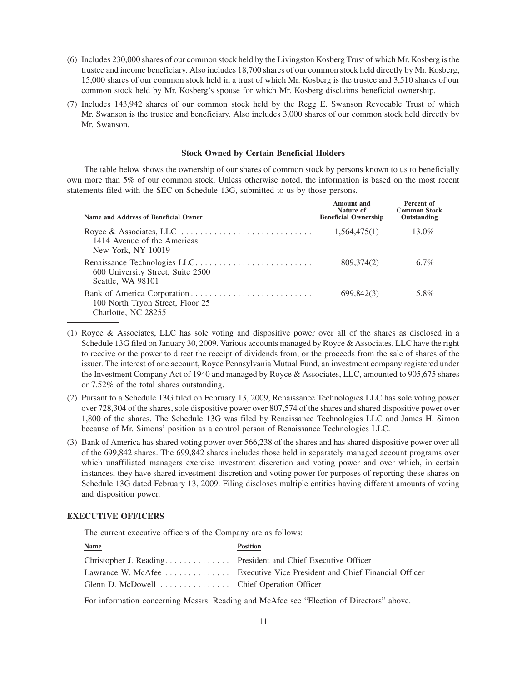- (6) Includes 230,000 shares of our common stock held by the Livingston Kosberg Trust of which Mr. Kosberg is the trustee and income beneficiary. Also includes 18,700 shares of our common stock held directly by Mr. Kosberg, 15,000 shares of our common stock held in a trust of which Mr. Kosberg is the trustee and 3,510 shares of our common stock held by Mr. Kosberg's spouse for which Mr. Kosberg disclaims beneficial ownership.
- (7) Includes 143,942 shares of our common stock held by the Regg E. Swanson Revocable Trust of which Mr. Swanson is the trustee and beneficiary. Also includes 3,000 shares of our common stock held directly by Mr. Swanson.

# **Stock Owned by Certain Beneficial Holders**

The table below shows the ownership of our shares of common stock by persons known to us to beneficially own more than 5% of our common stock. Unless otherwise noted, the information is based on the most recent statements filed with the SEC on Schedule 13G, submitted to us by those persons.

| Name and Address of Beneficial Owner                    | Amount and<br>Nature of<br><b>Beneficial Ownership</b> | Percent of<br><b>Common Stock</b><br>Outstanding |
|---------------------------------------------------------|--------------------------------------------------------|--------------------------------------------------|
| 1414 Avenue of the Americas<br>New York, NY 10019       | 1,564,475(1)                                           | $13.0\%$                                         |
| 600 University Street, Suite 2500<br>Seattle, WA 98101  | 809,374(2)                                             | $6.7\%$                                          |
| 100 North Tryon Street, Floor 25<br>Charlotte, NC 28255 | 699,842(3)                                             | 5.8%                                             |

- (1) Royce & Associates, LLC has sole voting and dispositive power over all of the shares as disclosed in a Schedule 13G filed on January 30, 2009. Various accounts managed by Royce & Associates, LLC have the right to receive or the power to direct the receipt of dividends from, or the proceeds from the sale of shares of the issuer. The interest of one account, Royce Pennsylvania Mutual Fund, an investment company registered under the Investment Company Act of 1940 and managed by Royce & Associates, LLC, amounted to 905,675 shares or 7.52% of the total shares outstanding.
- (2) Pursant to a Schedule 13G filed on February 13, 2009, Renaissance Technologies LLC has sole voting power over 728,304 of the shares, sole dispositive power over 807,574 of the shares and shared dispositive power over 1,800 of the shares. The Schedule 13G was filed by Renaissance Technologies LLC and James H. Simon because of Mr. Simons' position as a control person of Renaissance Technologies LLC.
- (3) Bank of America has shared voting power over 566,238 of the shares and has shared dispositive power over all of the 699,842 shares. The 699,842 shares includes those held in separately managed account programs over which unaffiliated managers exercise investment discretion and voting power and over which, in certain instances, they have shared investment discretion and voting power for purposes of reporting these shares on Schedule 13G dated February 13, 2009. Filing discloses multiple entities having different amounts of voting and disposition power.

# **EXECUTIVE OFFICERS**

The current executive officers of the Company are as follows:

| <b>Name</b>                                                  | <b>Position</b>                                                          |
|--------------------------------------------------------------|--------------------------------------------------------------------------|
| Christopher J. Reading President and Chief Executive Officer |                                                                          |
|                                                              | Lawrance W. McAfee  Executive Vice President and Chief Financial Officer |
| Glenn D. McDowell Chief Operation Officer                    |                                                                          |

For information concerning Messrs. Reading and McAfee see "Election of Directors" above.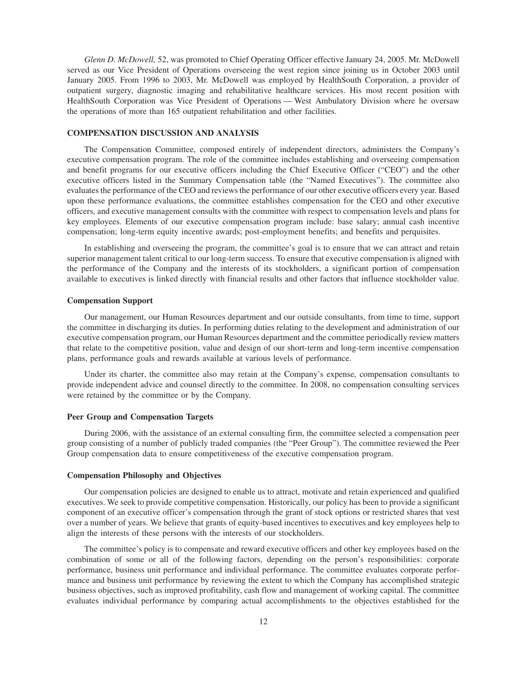*Glenn D. McDowell,* 52, was promoted to Chief Operating Officer effective January 24, 2005. Mr. McDowell served as our Vice President of Operations overseeing the west region since joining us in October 2003 until January 2005. From 1996 to 2003, Mr. McDowell was employed by HealthSouth Corporation, a provider of outpatient surgery, diagnostic imaging and rehabilitative healthcare services. His most recent position with HealthSouth Corporation was Vice President of Operations — West Ambulatory Division where he oversaw the operations of more than 165 outpatient rehabilitation and other facilities.

#### **COMPENSATION DISCUSSION AND ANALYSIS**

The Compensation Committee, composed entirely of independent directors, administers the Company's executive compensation program. The role of the committee includes establishing and overseeing compensation and benefit programs for our executive officers including the Chief Executive Officer ("CEO") and the other executive officers listed in the Summary Compensation table (the "Named Executives"). The committee also evaluates the performance of the CEO and reviews the performance of our other executive officers every year. Based upon these performance evaluations, the committee establishes compensation for the CEO and other executive officers, and executive management consults with the committee with respect to compensation levels and plans for key employees. Elements of our executive compensation program include: base salary; annual cash incentive compensation; long-term equity incentive awards; post-employment benefits; and benefits and perquisites.

In establishing and overseeing the program, the committee's goal is to ensure that we can attract and retain superior management talent critical to our long-term success. To ensure that executive compensation is aligned with the performance of the Company and the interests of its stockholders, a significant portion of compensation available to executives is linked directly with financial results and other factors that influence stockholder value.

#### **Compensation Support**

Our management, our Human Resources department and our outside consultants, from time to time, support the committee in discharging its duties. In performing duties relating to the development and administration of our executive compensation program, our Human Resources department and the committee periodically review matters that relate to the competitive position, value and design of our short-term and long-term incentive compensation plans, performance goals and rewards available at various levels of performance.

Under its charter, the committee also may retain at the Company's expense, compensation consultants to provide independent advice and counsel directly to the committee. In 2008, no compensation consulting services were retained by the committee or by the Company.

#### **Peer Group and Compensation Targets**

During 2006, with the assistance of an external consulting firm, the committee selected a compensation peer group consisting of a number of publicly traded companies (the "Peer Group"). The committee reviewed the Peer Group compensation data to ensure competitiveness of the executive compensation program.

#### **Compensation Philosophy and Objectives**

Our compensation policies are designed to enable us to attract, motivate and retain experienced and qualified executives. We seek to provide competitive compensation. Historically, our policy has been to provide a significant component of an executive officer's compensation through the grant of stock options or restricted shares that vest over a number of years. We believe that grants of equity-based incentives to executives and key employees help to align the interests of these persons with the interests of our stockholders.

The committee's policy is to compensate and reward executive officers and other key employees based on the combination of some or all of the following factors, depending on the person's responsibilities: corporate performance, business unit performance and individual performance. The committee evaluates corporate performance and business unit performance by reviewing the extent to which the Company has accomplished strategic business objectives, such as improved profitability, cash flow and management of working capital. The committee evaluates individual performance by comparing actual accomplishments to the objectives established for the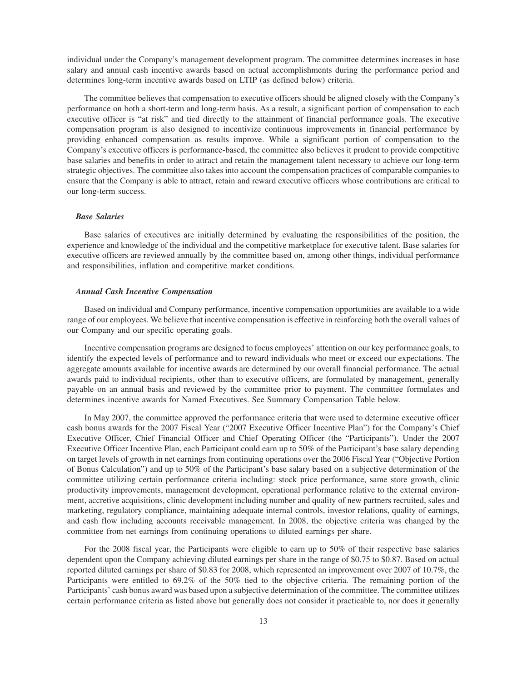individual under the Company's management development program. The committee determines increases in base salary and annual cash incentive awards based on actual accomplishments during the performance period and determines long-term incentive awards based on LTIP (as defined below) criteria.

The committee believes that compensation to executive officers should be aligned closely with the Company's performance on both a short-term and long-term basis. As a result, a significant portion of compensation to each executive officer is "at risk" and tied directly to the attainment of financial performance goals. The executive compensation program is also designed to incentivize continuous improvements in financial performance by providing enhanced compensation as results improve. While a significant portion of compensation to the Company's executive officers is performance-based, the committee also believes it prudent to provide competitive base salaries and benefits in order to attract and retain the management talent necessary to achieve our long-term strategic objectives. The committee also takes into account the compensation practices of comparable companies to ensure that the Company is able to attract, retain and reward executive officers whose contributions are critical to our long-term success.

#### *Base Salaries*

Base salaries of executives are initially determined by evaluating the responsibilities of the position, the experience and knowledge of the individual and the competitive marketplace for executive talent. Base salaries for executive officers are reviewed annually by the committee based on, among other things, individual performance and responsibilities, inflation and competitive market conditions.

#### *Annual Cash Incentive Compensation*

Based on individual and Company performance, incentive compensation opportunities are available to a wide range of our employees. We believe that incentive compensation is effective in reinforcing both the overall values of our Company and our specific operating goals.

Incentive compensation programs are designed to focus employees' attention on our key performance goals, to identify the expected levels of performance and to reward individuals who meet or exceed our expectations. The aggregate amounts available for incentive awards are determined by our overall financial performance. The actual awards paid to individual recipients, other than to executive officers, are formulated by management, generally payable on an annual basis and reviewed by the committee prior to payment. The committee formulates and determines incentive awards for Named Executives. See Summary Compensation Table below.

In May 2007, the committee approved the performance criteria that were used to determine executive officer cash bonus awards for the 2007 Fiscal Year ("2007 Executive Officer Incentive Plan") for the Company's Chief Executive Officer, Chief Financial Officer and Chief Operating Officer (the "Participants"). Under the 2007 Executive Officer Incentive Plan, each Participant could earn up to 50% of the Participant's base salary depending on target levels of growth in net earnings from continuing operations over the 2006 Fiscal Year ("Objective Portion of Bonus Calculation") and up to 50% of the Participant's base salary based on a subjective determination of the committee utilizing certain performance criteria including: stock price performance, same store growth, clinic productivity improvements, management development, operational performance relative to the external environment, accretive acquisitions, clinic development including number and quality of new partners recruited, sales and marketing, regulatory compliance, maintaining adequate internal controls, investor relations, quality of earnings, and cash flow including accounts receivable management. In 2008, the objective criteria was changed by the committee from net earnings from continuing operations to diluted earnings per share.

For the 2008 fiscal year, the Participants were eligible to earn up to 50% of their respective base salaries dependent upon the Company achieving diluted earnings per share in the range of \$0.75 to \$0.87. Based on actual reported diluted earnings per share of \$0.83 for 2008, which represented an improvement over 2007 of 10.7%, the Participants were entitled to 69.2% of the 50% tied to the objective criteria. The remaining portion of the Participants' cash bonus award was based upon a subjective determination of the committee. The committee utilizes certain performance criteria as listed above but generally does not consider it practicable to, nor does it generally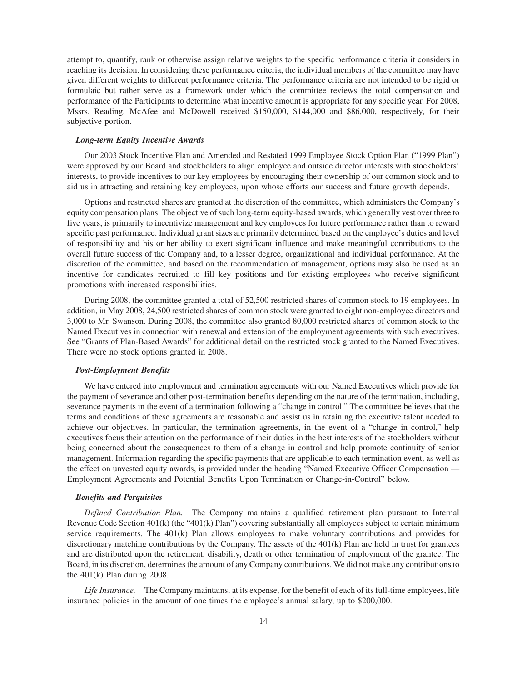attempt to, quantify, rank or otherwise assign relative weights to the specific performance criteria it considers in reaching its decision. In considering these performance criteria, the individual members of the committee may have given different weights to different performance criteria. The performance criteria are not intended to be rigid or formulaic but rather serve as a framework under which the committee reviews the total compensation and performance of the Participants to determine what incentive amount is appropriate for any specific year. For 2008, Mssrs. Reading, McAfee and McDowell received \$150,000, \$144,000 and \$86,000, respectively, for their subjective portion.

#### *Long-term Equity Incentive Awards*

Our 2003 Stock Incentive Plan and Amended and Restated 1999 Employee Stock Option Plan ("1999 Plan") were approved by our Board and stockholders to align employee and outside director interests with stockholders' interests, to provide incentives to our key employees by encouraging their ownership of our common stock and to aid us in attracting and retaining key employees, upon whose efforts our success and future growth depends.

Options and restricted shares are granted at the discretion of the committee, which administers the Company's equity compensation plans. The objective of such long-term equity-based awards, which generally vest over three to five years, is primarily to incentivize management and key employees for future performance rather than to reward specific past performance. Individual grant sizes are primarily determined based on the employee's duties and level of responsibility and his or her ability to exert significant influence and make meaningful contributions to the overall future success of the Company and, to a lesser degree, organizational and individual performance. At the discretion of the committee, and based on the recommendation of management, options may also be used as an incentive for candidates recruited to fill key positions and for existing employees who receive significant promotions with increased responsibilities.

During 2008, the committee granted a total of 52,500 restricted shares of common stock to 19 employees. In addition, in May 2008, 24,500 restricted shares of common stock were granted to eight non-employee directors and 3,000 to Mr. Swanson. During 2008, the committee also granted 80,000 restricted shares of common stock to the Named Executives in connection with renewal and extension of the employment agreements with such executives. See "Grants of Plan-Based Awards" for additional detail on the restricted stock granted to the Named Executives. There were no stock options granted in 2008.

# *Post-Employment Benefits*

We have entered into employment and termination agreements with our Named Executives which provide for the payment of severance and other post-termination benefits depending on the nature of the termination, including, severance payments in the event of a termination following a "change in control." The committee believes that the terms and conditions of these agreements are reasonable and assist us in retaining the executive talent needed to achieve our objectives. In particular, the termination agreements, in the event of a "change in control," help executives focus their attention on the performance of their duties in the best interests of the stockholders without being concerned about the consequences to them of a change in control and help promote continuity of senior management. Information regarding the specific payments that are applicable to each termination event, as well as the effect on unvested equity awards, is provided under the heading "Named Executive Officer Compensation — Employment Agreements and Potential Benefits Upon Termination or Change-in-Control" below.

# *Benefits and Perquisites*

*Defined Contribution Plan.* The Company maintains a qualified retirement plan pursuant to Internal Revenue Code Section 401(k) (the "401(k) Plan") covering substantially all employees subject to certain minimum service requirements. The 401(k) Plan allows employees to make voluntary contributions and provides for discretionary matching contributions by the Company. The assets of the 401(k) Plan are held in trust for grantees and are distributed upon the retirement, disability, death or other termination of employment of the grantee. The Board, in its discretion, determines the amount of any Company contributions. We did not make any contributions to the 401(k) Plan during 2008.

*Life Insurance.* The Company maintains, at its expense, for the benefit of each of its full-time employees, life insurance policies in the amount of one times the employee's annual salary, up to \$200,000.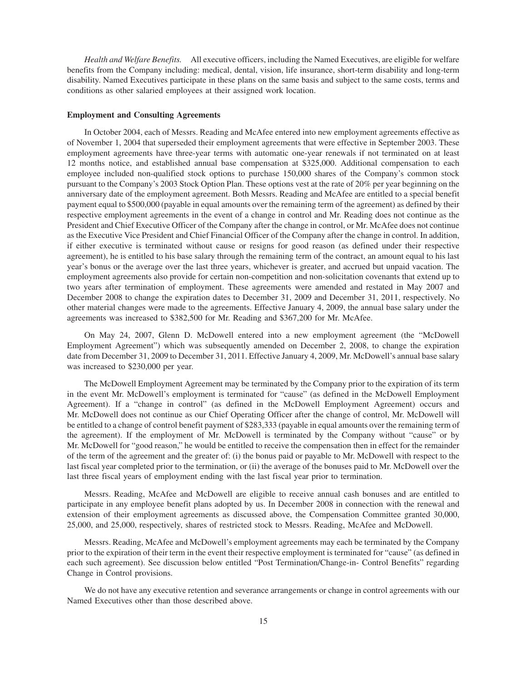*Health and Welfare Benefits.* All executive officers, including the Named Executives, are eligible for welfare benefits from the Company including: medical, dental, vision, life insurance, short-term disability and long-term disability. Named Executives participate in these plans on the same basis and subject to the same costs, terms and conditions as other salaried employees at their assigned work location.

#### **Employment and Consulting Agreements**

In October 2004, each of Messrs. Reading and McAfee entered into new employment agreements effective as of November 1, 2004 that superseded their employment agreements that were effective in September 2003. These employment agreements have three-year terms with automatic one-year renewals if not terminated on at least 12 months notice, and established annual base compensation at \$325,000. Additional compensation to each employee included non-qualified stock options to purchase 150,000 shares of the Company's common stock pursuant to the Company's 2003 Stock Option Plan. These options vest at the rate of 20% per year beginning on the anniversary date of the employment agreement. Both Messrs. Reading and McAfee are entitled to a special benefit payment equal to \$500,000 (payable in equal amounts over the remaining term of the agreement) as defined by their respective employment agreements in the event of a change in control and Mr. Reading does not continue as the President and Chief Executive Officer of the Company after the change in control, or Mr. McAfee does not continue as the Executive Vice President and Chief Financial Officer of the Company after the change in control. In addition, if either executive is terminated without cause or resigns for good reason (as defined under their respective agreement), he is entitled to his base salary through the remaining term of the contract, an amount equal to his last year's bonus or the average over the last three years, whichever is greater, and accrued but unpaid vacation. The employment agreements also provide for certain non-competition and non-solicitation covenants that extend up to two years after termination of employment. These agreements were amended and restated in May 2007 and December 2008 to change the expiration dates to December 31, 2009 and December 31, 2011, respectively. No other material changes were made to the agreements. Effective January 4, 2009, the annual base salary under the agreements was increased to \$382,500 for Mr. Reading and \$367,200 for Mr. McAfee.

On May 24, 2007, Glenn D. McDowell entered into a new employment agreement (the "McDowell Employment Agreement") which was subsequently amended on December 2, 2008, to change the expiration date from December 31, 2009 to December 31, 2011. Effective January 4, 2009, Mr. McDowell's annual base salary was increased to \$230,000 per year.

The McDowell Employment Agreement may be terminated by the Company prior to the expiration of its term in the event Mr. McDowell's employment is terminated for "cause" (as defined in the McDowell Employment Agreement). If a "change in control" (as defined in the McDowell Employment Agreement) occurs and Mr. McDowell does not continue as our Chief Operating Officer after the change of control, Mr. McDowell will be entitled to a change of control benefit payment of \$283,333 (payable in equal amounts over the remaining term of the agreement). If the employment of Mr. McDowell is terminated by the Company without "cause" or by Mr. McDowell for "good reason," he would be entitled to receive the compensation then in effect for the remainder of the term of the agreement and the greater of: (i) the bonus paid or payable to Mr. McDowell with respect to the last fiscal year completed prior to the termination, or (ii) the average of the bonuses paid to Mr. McDowell over the last three fiscal years of employment ending with the last fiscal year prior to termination.

Messrs. Reading, McAfee and McDowell are eligible to receive annual cash bonuses and are entitled to participate in any employee benefit plans adopted by us. In December 2008 in connection with the renewal and extension of their employment agreements as discussed above, the Compensation Committee granted 30,000, 25,000, and 25,000, respectively, shares of restricted stock to Messrs. Reading, McAfee and McDowell.

Messrs. Reading, McAfee and McDowell's employment agreements may each be terminated by the Company prior to the expiration of their term in the event their respective employment is terminated for "cause" (as defined in each such agreement). See discussion below entitled "Post Termination/Change-in- Control Benefits" regarding Change in Control provisions.

We do not have any executive retention and severance arrangements or change in control agreements with our Named Executives other than those described above.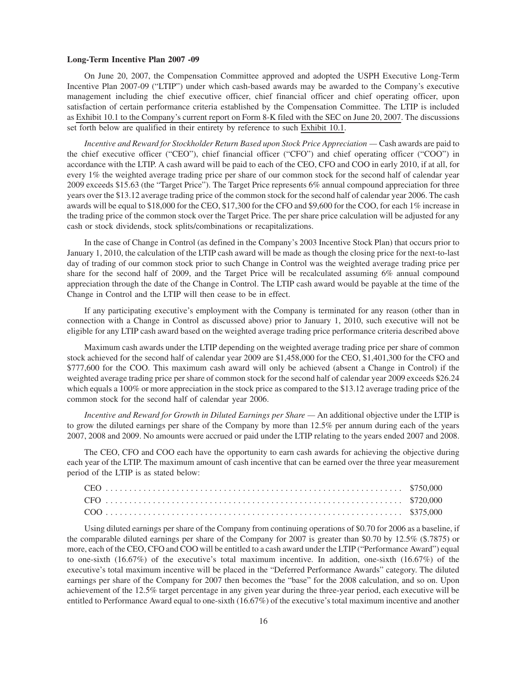#### **Long-Term Incentive Plan 2007 -09**

On June 20, 2007, the Compensation Committee approved and adopted the USPH Executive Long-Term Incentive Plan 2007-09 ("LTIP") under which cash-based awards may be awarded to the Company's executive management including the chief executive officer, chief financial officer and chief operating officer, upon satisfaction of certain performance criteria established by the Compensation Committee. The LTIP is included as Exhibit 10.1 to the Company's current report on Form 8-K filed with the SEC on June 20, 2007. The discussions set forth below are qualified in their entirety by reference to such Exhibit 10.1.

*Incentive and Reward for Stockholder Return Based upon Stock Price Appreciation —* Cash awards are paid to the chief executive officer ("CEO"), chief financial officer ("CFO") and chief operating officer ("COO") in accordance with the LTIP. A cash award will be paid to each of the CEO, CFO and COO in early 2010, if at all, for every 1% the weighted average trading price per share of our common stock for the second half of calendar year 2009 exceeds \$15.63 (the "Target Price"). The Target Price represents 6% annual compound appreciation for three years over the \$13.12 average trading price of the common stock for the second half of calendar year 2006. The cash awards will be equal to \$18,000 for the CEO, \$17,300 for the CFO and \$9,600 for the COO, for each 1% increase in the trading price of the common stock over the Target Price. The per share price calculation will be adjusted for any cash or stock dividends, stock splits/combinations or recapitalizations.

In the case of Change in Control (as defined in the Company's 2003 Incentive Stock Plan) that occurs prior to January 1, 2010, the calculation of the LTIP cash award will be made as though the closing price for the next-to-last day of trading of our common stock prior to such Change in Control was the weighted average trading price per share for the second half of 2009, and the Target Price will be recalculated assuming 6% annual compound appreciation through the date of the Change in Control. The LTIP cash award would be payable at the time of the Change in Control and the LTIP will then cease to be in effect.

If any participating executive's employment with the Company is terminated for any reason (other than in connection with a Change in Control as discussed above) prior to January 1, 2010, such executive will not be eligible for any LTIP cash award based on the weighted average trading price performance criteria described above

Maximum cash awards under the LTIP depending on the weighted average trading price per share of common stock achieved for the second half of calendar year 2009 are \$1,458,000 for the CEO, \$1,401,300 for the CFO and \$777,600 for the COO. This maximum cash award will only be achieved (absent a Change in Control) if the weighted average trading price per share of common stock for the second half of calendar year 2009 exceeds \$26.24 which equals a 100% or more appreciation in the stock price as compared to the \$13.12 average trading price of the common stock for the second half of calendar year 2006.

*Incentive and Reward for Growth in Diluted Earnings per Share —* An additional objective under the LTIP is to grow the diluted earnings per share of the Company by more than 12.5% per annum during each of the years 2007, 2008 and 2009. No amounts were accrued or paid under the LTIP relating to the years ended 2007 and 2008.

The CEO, CFO and COO each have the opportunity to earn cash awards for achieving the objective during each year of the LTIP. The maximum amount of cash incentive that can be earned over the three year measurement period of the LTIP is as stated below:

Using diluted earnings per share of the Company from continuing operations of \$0.70 for 2006 as a baseline, if the comparable diluted earnings per share of the Company for 2007 is greater than \$0.70 by 12.5% (\$.7875) or more, each of the CEO, CFO and COO will be entitled to a cash award under the LTIP ("Performance Award") equal to one-sixth (16.67%) of the executive's total maximum incentive. In addition, one-sixth (16.67%) of the executive's total maximum incentive will be placed in the "Deferred Performance Awards" category. The diluted earnings per share of the Company for 2007 then becomes the "base" for the 2008 calculation, and so on. Upon achievement of the 12.5% target percentage in any given year during the three-year period, each executive will be entitled to Performance Award equal to one-sixth (16.67%) of the executive's total maximum incentive and another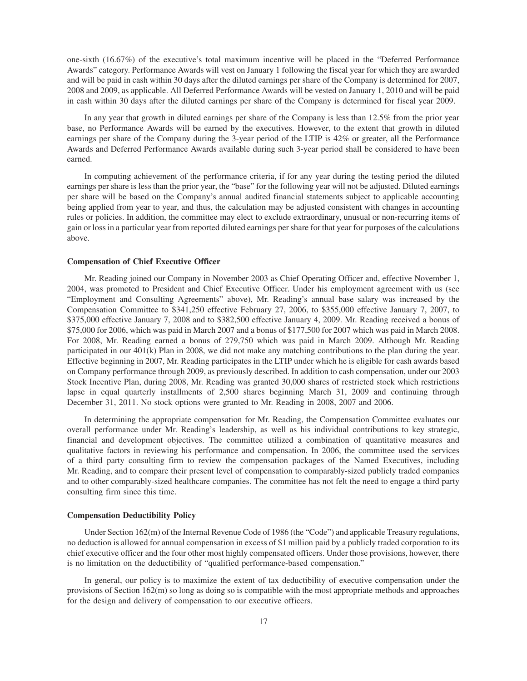one-sixth (16.67%) of the executive's total maximum incentive will be placed in the "Deferred Performance Awards" category. Performance Awards will vest on January 1 following the fiscal year for which they are awarded and will be paid in cash within 30 days after the diluted earnings per share of the Company is determined for 2007, 2008 and 2009, as applicable. All Deferred Performance Awards will be vested on January 1, 2010 and will be paid in cash within 30 days after the diluted earnings per share of the Company is determined for fiscal year 2009.

In any year that growth in diluted earnings per share of the Company is less than 12.5% from the prior year base, no Performance Awards will be earned by the executives. However, to the extent that growth in diluted earnings per share of the Company during the 3-year period of the LTIP is 42% or greater, all the Performance Awards and Deferred Performance Awards available during such 3-year period shall be considered to have been earned.

In computing achievement of the performance criteria, if for any year during the testing period the diluted earnings per share is less than the prior year, the "base" for the following year will not be adjusted. Diluted earnings per share will be based on the Company's annual audited financial statements subject to applicable accounting being applied from year to year, and thus, the calculation may be adjusted consistent with changes in accounting rules or policies. In addition, the committee may elect to exclude extraordinary, unusual or non-recurring items of gain or loss in a particular year from reported diluted earnings per share for that year for purposes of the calculations above.

### **Compensation of Chief Executive Officer**

Mr. Reading joined our Company in November 2003 as Chief Operating Officer and, effective November 1, 2004, was promoted to President and Chief Executive Officer. Under his employment agreement with us (see "Employment and Consulting Agreements" above), Mr. Reading's annual base salary was increased by the Compensation Committee to \$341,250 effective February 27, 2006, to \$355,000 effective January 7, 2007, to \$375,000 effective January 7, 2008 and to \$382,500 effective January 4, 2009. Mr. Reading received a bonus of \$75,000 for 2006, which was paid in March 2007 and a bonus of \$177,500 for 2007 which was paid in March 2008. For 2008, Mr. Reading earned a bonus of 279,750 which was paid in March 2009. Although Mr. Reading participated in our 401(k) Plan in 2008, we did not make any matching contributions to the plan during the year. Effective beginning in 2007, Mr. Reading participates in the LTIP under which he is eligible for cash awards based on Company performance through 2009, as previously described. In addition to cash compensation, under our 2003 Stock Incentive Plan, during 2008, Mr. Reading was granted 30,000 shares of restricted stock which restrictions lapse in equal quarterly installments of 2,500 shares beginning March 31, 2009 and continuing through December 31, 2011. No stock options were granted to Mr. Reading in 2008, 2007 and 2006.

In determining the appropriate compensation for Mr. Reading, the Compensation Committee evaluates our overall performance under Mr. Reading's leadership, as well as his individual contributions to key strategic, financial and development objectives. The committee utilized a combination of quantitative measures and qualitative factors in reviewing his performance and compensation. In 2006, the committee used the services of a third party consulting firm to review the compensation packages of the Named Executives, including Mr. Reading, and to compare their present level of compensation to comparably-sized publicly traded companies and to other comparably-sized healthcare companies. The committee has not felt the need to engage a third party consulting firm since this time.

### **Compensation Deductibility Policy**

Under Section 162(m) of the Internal Revenue Code of 1986 (the "Code") and applicable Treasury regulations, no deduction is allowed for annual compensation in excess of \$1 million paid by a publicly traded corporation to its chief executive officer and the four other most highly compensated officers. Under those provisions, however, there is no limitation on the deductibility of "qualified performance-based compensation."

In general, our policy is to maximize the extent of tax deductibility of executive compensation under the provisions of Section 162(m) so long as doing so is compatible with the most appropriate methods and approaches for the design and delivery of compensation to our executive officers.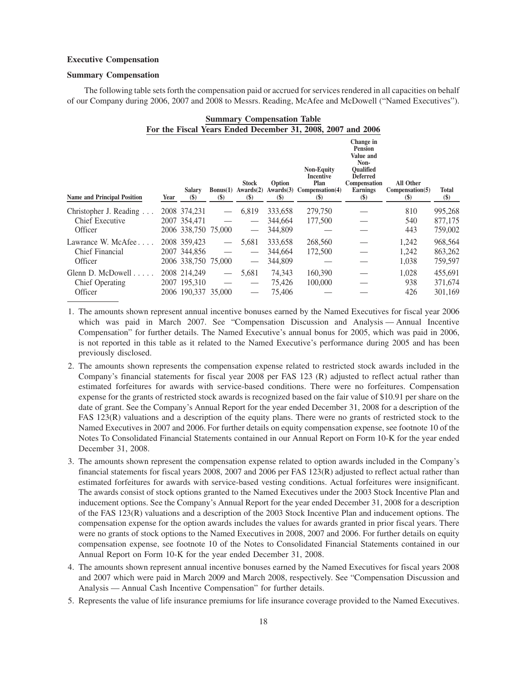### **Executive Compensation**

### **Summary Compensation**

The following table sets forth the compensation paid or accrued for services rendered in all capacities on behalf of our Company during 2006, 2007 and 2008 to Messrs. Reading, McAfee and McDowell ("Named Executives").

| <b>Summary Compensation Table</b><br>For the Fiscal Years Ended December 31, 2008, 2007 and 2006 |      |                     |                   |                                                                        |                                      |                                                                                    |                                                                                                                                      |                                                          |                        |
|--------------------------------------------------------------------------------------------------|------|---------------------|-------------------|------------------------------------------------------------------------|--------------------------------------|------------------------------------------------------------------------------------|--------------------------------------------------------------------------------------------------------------------------------------|----------------------------------------------------------|------------------------|
| <b>Name and Principal Position</b>                                                               | Year | Salary<br>$($)$     | $(\$)$            | <b>Stock</b><br>Bonus $(1)$ Awards $(2)$<br>$\left( \mathbb{S}\right)$ | Option<br>$\left( \mathbb{S}\right)$ | <b>Non-Equity</b><br>Incentive<br>Plan<br>Awards(3) Compensation(4)<br><b>(\$)</b> | Change in<br><b>Pension</b><br>Value and<br>Non-<br><b>Oualified</b><br><b>Deferred</b><br>Compensation<br><b>Earnings</b><br>$(\$)$ | All Other<br>Comparison(5)<br>$\left( \mathbb{S}\right)$ | <b>Total</b><br>$(\$)$ |
| Christopher J. Reading                                                                           |      | 2008 374,231        |                   | 6,819                                                                  | 333,658                              | 279,750                                                                            |                                                                                                                                      | 810                                                      | 995,268                |
| <b>Chief Executive</b>                                                                           |      | 2007 354,471        |                   |                                                                        | 344,664                              | 177,500                                                                            |                                                                                                                                      | 540                                                      | 877,175                |
| Officer                                                                                          |      | 2006 338,750 75,000 |                   | $\overbrace{\phantom{aaaaa}}$                                          | 344,809                              |                                                                                    |                                                                                                                                      | 443                                                      | 759,002                |
| Lawrance W. McAfee                                                                               |      | 2008 359,423        |                   | 5,681                                                                  | 333,658                              | 268,560                                                                            |                                                                                                                                      | 1,242                                                    | 968,564                |
| <b>Chief Financial</b>                                                                           |      | 2007 344,856        |                   |                                                                        | 344,664                              | 172,500                                                                            |                                                                                                                                      | 1,242                                                    | 863,262                |
| Officer                                                                                          |      | 2006 338,750 75,000 |                   | $\overline{\phantom{m}}$                                               | 344,809                              |                                                                                    |                                                                                                                                      | 1,038                                                    | 759,597                |
| Glenn D. McDowell $\ldots$ .                                                                     |      | 2008 214,249        | $\hspace{0.05cm}$ | 5,681                                                                  | 74,343                               | 160,390                                                                            |                                                                                                                                      | 1,028                                                    | 455,691                |
| <b>Chief Operating</b>                                                                           |      | 2007 195,310        |                   |                                                                        | 75,426                               | 100,000                                                                            |                                                                                                                                      | 938                                                      | 371,674                |
| Officer                                                                                          |      | 2006 190.337 35,000 |                   |                                                                        | 75,406                               |                                                                                    |                                                                                                                                      | 426                                                      | 301,169                |

- 1. The amounts shown represent annual incentive bonuses earned by the Named Executives for fiscal year 2006 which was paid in March 2007. See "Compensation Discussion and Analysis — Annual Incentive Compensation" for further details. The Named Executive's annual bonus for 2005, which was paid in 2006, is not reported in this table as it related to the Named Executive's performance during 2005 and has been previously disclosed.
- 2. The amounts shown represents the compensation expense related to restricted stock awards included in the Company's financial statements for fiscal year 2008 per FAS 123 (R) adjusted to reflect actual rather than estimated forfeitures for awards with service-based conditions. There were no forfeitures. Compensation expense for the grants of restricted stock awards is recognized based on the fair value of \$10.91 per share on the date of grant. See the Company's Annual Report for the year ended December 31, 2008 for a description of the FAS 123(R) valuations and a description of the equity plans. There were no grants of restricted stock to the Named Executives in 2007 and 2006. For further details on equity compensation expense, see footnote 10 of the Notes To Consolidated Financial Statements contained in our Annual Report on Form 10-K for the year ended December 31, 2008.
- 3. The amounts shown represent the compensation expense related to option awards included in the Company's financial statements for fiscal years 2008, 2007 and 2006 per FAS 123(R) adjusted to reflect actual rather than estimated forfeitures for awards with service-based vesting conditions. Actual forfeitures were insignificant. The awards consist of stock options granted to the Named Executives under the 2003 Stock Incentive Plan and inducement options. See the Company's Annual Report for the year ended December 31, 2008 for a description of the FAS 123(R) valuations and a description of the 2003 Stock Incentive Plan and inducement options. The compensation expense for the option awards includes the values for awards granted in prior fiscal years. There were no grants of stock options to the Named Executives in 2008, 2007 and 2006. For further details on equity compensation expense, see footnote 10 of the Notes to Consolidated Financial Statements contained in our Annual Report on Form 10-K for the year ended December 31, 2008.
- 4. The amounts shown represent annual incentive bonuses earned by the Named Executives for fiscal years 2008 and 2007 which were paid in March 2009 and March 2008, respectively. See "Compensation Discussion and Analysis — Annual Cash Incentive Compensation" for further details.
- 5. Represents the value of life insurance premiums for life insurance coverage provided to the Named Executives.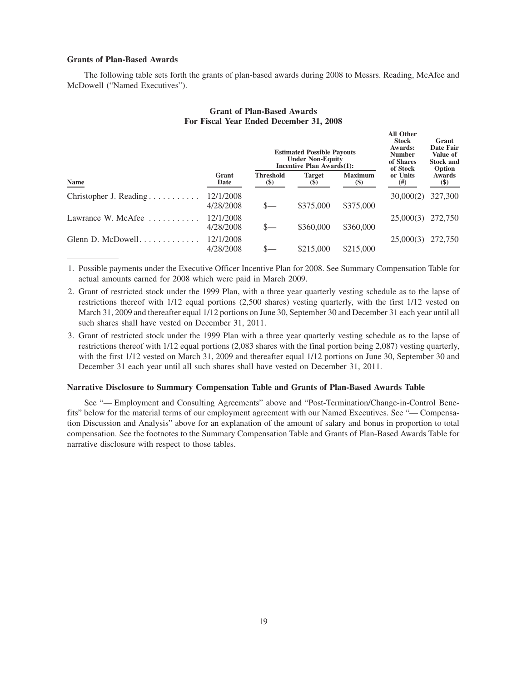# **Grants of Plan-Based Awards**

The following table sets forth the grants of plan-based awards during 2008 to Messrs. Reading, McAfee and McDowell ("Named Executives").

|                                              |                        |                                                | <b>Estimated Possible Payouts</b><br><b>Under Non-Equity</b><br>Incentive Plan Awards(1): | <b>All Other</b><br><b>Stock</b><br>Awards:<br><b>Number</b><br>of Shares<br>of Stock | Grant<br>Date Fair<br>Value of<br><b>Stock and</b><br>Option |                         |
|----------------------------------------------|------------------------|------------------------------------------------|-------------------------------------------------------------------------------------------|---------------------------------------------------------------------------------------|--------------------------------------------------------------|-------------------------|
| <b>Name</b>                                  | Grant<br>Date          | <b>Threshold</b><br>$\left( \mathbb{S}\right)$ | <b>Target</b><br><b>(\$)</b>                                                              | <b>Maximum</b><br>$\left( \mathbb{S}\right)$                                          | or Units<br>$^{(#)}$                                         | <b>Awards</b><br>$(\$)$ |
| Christopher J. Reading                       | 12/1/2008<br>4/28/2008 | $S-$                                           | \$375,000                                                                                 | \$375,000                                                                             | 30,000(2)                                                    | 327,300                 |
| Lawrance W. McAfee<br>and the company of the | 12/1/2008<br>4/28/2008 | $S-$                                           | \$360,000                                                                                 | \$360,000                                                                             | 25,000(3)                                                    | 272,750                 |
| Glenn D. McDowell                            | 12/1/2008<br>4/28/2008 |                                                | \$215,000                                                                                 | \$215,000                                                                             | 25,000(3)                                                    | 272,750                 |

# **Grant of Plan-Based Awards For Fiscal Year Ended December 31, 2008**

1. Possible payments under the Executive Officer Incentive Plan for 2008. See Summary Compensation Table for actual amounts earned for 2008 which were paid in March 2009.

- 2. Grant of restricted stock under the 1999 Plan, with a three year quarterly vesting schedule as to the lapse of restrictions thereof with 1/12 equal portions (2,500 shares) vesting quarterly, with the first 1/12 vested on March 31, 2009 and thereafter equal 1/12 portions on June 30, September 30 and December 31 each year until all such shares shall have vested on December 31, 2011.
- 3. Grant of restricted stock under the 1999 Plan with a three year quarterly vesting schedule as to the lapse of restrictions thereof with 1/12 equal portions (2,083 shares with the final portion being 2,087) vesting quarterly, with the first 1/12 vested on March 31, 2009 and thereafter equal 1/12 portions on June 30, September 30 and December 31 each year until all such shares shall have vested on December 31, 2011.

### **Narrative Disclosure to Summary Compensation Table and Grants of Plan-Based Awards Table**

See "— Employment and Consulting Agreements" above and "Post-Termination/Change-in-Control Benefits" below for the material terms of our employment agreement with our Named Executives. See "— Compensation Discussion and Analysis" above for an explanation of the amount of salary and bonus in proportion to total compensation. See the footnotes to the Summary Compensation Table and Grants of Plan-Based Awards Table for narrative disclosure with respect to those tables.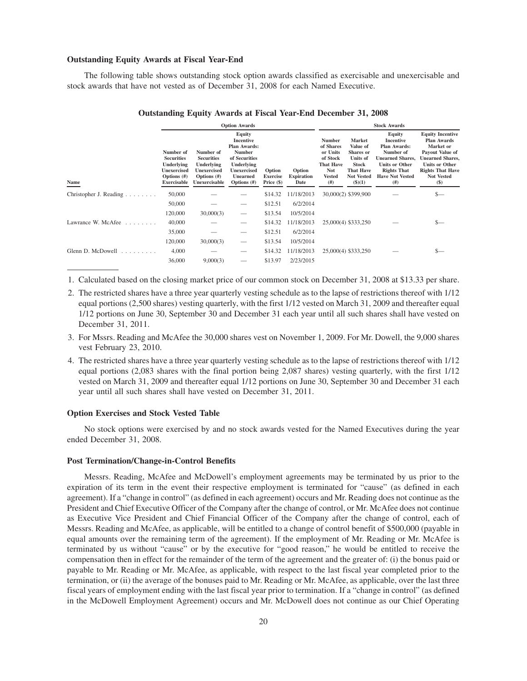#### **Outstanding Equity Awards at Fiscal Year-End**

The following table shows outstanding stock option awards classified as exercisable and unexercisable and stock awards that have not vested as of December 31, 2008 for each Named Executive.

|                              | <b>Option Awards</b>                                                                                       |                                                                                                |                                                                                                                                                              |                                           |                                     | <b>Stock Awards</b>                                                                                           |                                                                                                                |                                                                                                                                                                            |                                                                                                                                                                                             |  |
|------------------------------|------------------------------------------------------------------------------------------------------------|------------------------------------------------------------------------------------------------|--------------------------------------------------------------------------------------------------------------------------------------------------------------|-------------------------------------------|-------------------------------------|---------------------------------------------------------------------------------------------------------------|----------------------------------------------------------------------------------------------------------------|----------------------------------------------------------------------------------------------------------------------------------------------------------------------------|---------------------------------------------------------------------------------------------------------------------------------------------------------------------------------------------|--|
| Name                         | Number of<br><b>Securities</b><br>Underlying<br><b>Unexercised</b><br>Options $(\#)$<br><b>Exercisable</b> | Number of<br><b>Securities</b><br>Underlying<br>Unexercised<br>Options $(\#)$<br>Unexercisable | Equity<br><b>Incentive</b><br><b>Plan Awards:</b><br><b>Number</b><br>of Securities<br>Underlying<br><b>Unexercised</b><br><b>Unearned</b><br>Options $(\#)$ | Option<br><b>Exercise</b><br>Price $(\$)$ | Option<br><b>Expiration</b><br>Date | <b>Number</b><br>of Shares<br>or Units<br>of Stock<br><b>That Have</b><br><b>Not</b><br><b>Vested</b><br>(# ) | Market<br>Value of<br>Shares or<br><b>Units of</b><br><b>Stock</b><br>That Have<br><b>Not Vested</b><br>\$)(1) | <b>Equity</b><br>Incentive<br><b>Plan Awards:</b><br>Number of<br><b>Unearned Shares,</b><br><b>Units or Other</b><br><b>Rights That</b><br><b>Have Not Vested</b><br>(# ) | <b>Equity Incentive</b><br><b>Plan Awards</b><br>Market or<br>Payout Value of<br><b>Unearned Shares.</b><br><b>Units or Other</b><br><b>Rights That Have</b><br><b>Not Vested</b><br>$(\$)$ |  |
| Christopher J. Reading       | 50,000                                                                                                     |                                                                                                |                                                                                                                                                              | \$14.32                                   | 11/18/2013                          |                                                                                                               | 30,000(2) \$399,900                                                                                            |                                                                                                                                                                            | \$—                                                                                                                                                                                         |  |
|                              | 50,000                                                                                                     |                                                                                                |                                                                                                                                                              | \$12.51                                   | 6/2/2014                            |                                                                                                               |                                                                                                                |                                                                                                                                                                            |                                                                                                                                                                                             |  |
|                              | 120,000                                                                                                    | 30,000(3)                                                                                      |                                                                                                                                                              | \$13.54                                   | 10/5/2014                           |                                                                                                               |                                                                                                                |                                                                                                                                                                            |                                                                                                                                                                                             |  |
| Lawrance W. McAfee<br>.      | 40,000                                                                                                     |                                                                                                |                                                                                                                                                              | \$14.32                                   | 11/18/2013                          |                                                                                                               | 25,000(4) \$333,250                                                                                            |                                                                                                                                                                            | $S-$                                                                                                                                                                                        |  |
|                              | 35,000                                                                                                     |                                                                                                |                                                                                                                                                              | \$12.51                                   | 6/2/2014                            |                                                                                                               |                                                                                                                |                                                                                                                                                                            |                                                                                                                                                                                             |  |
|                              | 120,000                                                                                                    | 30,000(3)                                                                                      | $\hspace{0.1mm}-\hspace{0.1mm}$                                                                                                                              | \$13.54                                   | 10/5/2014                           |                                                                                                               |                                                                                                                |                                                                                                                                                                            |                                                                                                                                                                                             |  |
| Glenn D. McDowell $\ldots$ , | 4,000                                                                                                      |                                                                                                |                                                                                                                                                              | \$14.32                                   | 11/18/2013                          |                                                                                                               | 25,000(4) \$333,250                                                                                            |                                                                                                                                                                            |                                                                                                                                                                                             |  |
|                              | 36,000                                                                                                     | 9,000(3)                                                                                       |                                                                                                                                                              | \$13.97                                   | 2/23/2015                           |                                                                                                               |                                                                                                                |                                                                                                                                                                            |                                                                                                                                                                                             |  |

# **Outstanding Equity Awards at Fiscal Year-End December 31, 2008**

1. Calculated based on the closing market price of our common stock on December 31, 2008 at \$13.33 per share.

- 2. The restricted shares have a three year quarterly vesting schedule as to the lapse of restrictions thereof with 1/12 equal portions (2,500 shares) vesting quarterly, with the first 1/12 vested on March 31, 2009 and thereafter equal 1/12 portions on June 30, September 30 and December 31 each year until all such shares shall have vested on December 31, 2011.
- 3. For Mssrs. Reading and McAfee the 30,000 shares vest on November 1, 2009. For Mr. Dowell, the 9,000 shares vest February 23, 2010.
- 4. The restricted shares have a three year quarterly vesting schedule as to the lapse of restrictions thereof with 1/12 equal portions (2,083 shares with the final portion being 2,087 shares) vesting quarterly, with the first 1/12 vested on March 31, 2009 and thereafter equal 1/12 portions on June 30, September 30 and December 31 each year until all such shares shall have vested on December 31, 2011.

# **Option Exercises and Stock Vested Table**

No stock options were exercised by and no stock awards vested for the Named Executives during the year ended December 31, 2008.

#### **Post Termination/Change-in-Control Benefits**

Messrs. Reading, McAfee and McDowell's employment agreements may be terminated by us prior to the expiration of its term in the event their respective employment is terminated for "cause" (as defined in each agreement). If a "change in control" (as defined in each agreement) occurs and Mr. Reading does not continue as the President and Chief Executive Officer of the Company after the change of control, or Mr. McAfee does not continue as Executive Vice President and Chief Financial Officer of the Company after the change of control, each of Messrs. Reading and McAfee, as applicable, will be entitled to a change of control benefit of \$500,000 (payable in equal amounts over the remaining term of the agreement). If the employment of Mr. Reading or Mr. McAfee is terminated by us without "cause" or by the executive for "good reason," he would be entitled to receive the compensation then in effect for the remainder of the term of the agreement and the greater of: (i) the bonus paid or payable to Mr. Reading or Mr. McAfee, as applicable, with respect to the last fiscal year completed prior to the termination, or (ii) the average of the bonuses paid to Mr. Reading or Mr. McAfee, as applicable, over the last three fiscal years of employment ending with the last fiscal year prior to termination. If a "change in control" (as defined in the McDowell Employment Agreement) occurs and Mr. McDowell does not continue as our Chief Operating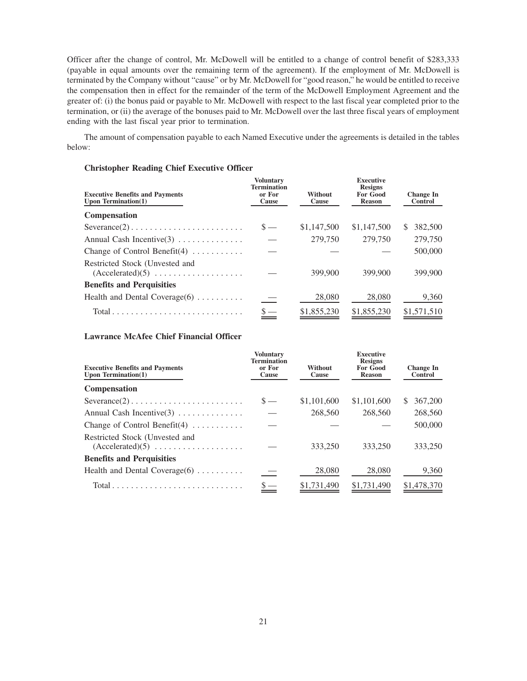Officer after the change of control, Mr. McDowell will be entitled to a change of control benefit of \$283,333 (payable in equal amounts over the remaining term of the agreement). If the employment of Mr. McDowell is terminated by the Company without "cause" or by Mr. McDowell for "good reason," he would be entitled to receive the compensation then in effect for the remainder of the term of the McDowell Employment Agreement and the greater of: (i) the bonus paid or payable to Mr. McDowell with respect to the last fiscal year completed prior to the termination, or (ii) the average of the bonuses paid to Mr. McDowell over the last three fiscal years of employment ending with the last fiscal year prior to termination.

The amount of compensation payable to each Named Executive under the agreements is detailed in the tables below:

# **Christopher Reading Chief Executive Officer**

| <b>Executive Benefits and Payments</b><br>Upon Termination $(1)$          | <b>Voluntary</b><br><b>Termination</b><br>or For<br><b>Cause</b> | Without<br>Cause | <b>Executive</b><br><b>Resigns</b><br><b>For Good</b><br><b>Reason</b> | <b>Change In</b><br><b>Control</b> |
|---------------------------------------------------------------------------|------------------------------------------------------------------|------------------|------------------------------------------------------------------------|------------------------------------|
| <b>Compensation</b>                                                       |                                                                  |                  |                                                                        |                                    |
| $Severance(2) \ldots \ldots \ldots \ldots \ldots \ldots \ldots \ldots$    | $S -$                                                            | \$1,147,500      | \$1,147,500                                                            | 382,500<br>\$.                     |
| Annual Cash Incentive $(3)$                                               |                                                                  | 279,750          | 279,750                                                                | 279,750                            |
| Change of Control Benefit(4) $\dots \dots$                                |                                                                  |                  |                                                                        | 500,000                            |
| Restricted Stock (Unvested and                                            |                                                                  | 399,900          | 399,900                                                                | 399,900                            |
| <b>Benefits and Perquisities</b>                                          |                                                                  |                  |                                                                        |                                    |
| Health and Dental Coverage $(6)$                                          |                                                                  | 28,080           | 28,080                                                                 | 9,360                              |
| $Total \dots \dots \dots \dots \dots \dots \dots \dots \dots \dots \dots$ |                                                                  | \$1,855,230      | \$1,855,230                                                            | \$1,571,510                        |

# **Lawrance McAfee Chief Financial Officer**

| <b>Executive Benefits and Payments</b><br>Upon Termination $(1)$          | <b>Voluntary</b><br><b>Termination</b><br>or For<br>Cause | <b>Without</b><br>Cause | <b>Executive</b><br><b>Resigns</b><br><b>For Good</b><br><b>Reason</b> | <b>Change In</b><br>Control |
|---------------------------------------------------------------------------|-----------------------------------------------------------|-------------------------|------------------------------------------------------------------------|-----------------------------|
| <b>Compensation</b>                                                       |                                                           |                         |                                                                        |                             |
| $Severance(2) \ldots \ldots \ldots \ldots \ldots \ldots \ldots$           | $S -$                                                     | \$1,101,600             | \$1,101,600                                                            | 367,200<br><sup>S</sup>     |
| Annual Cash Incentive $(3)$                                               |                                                           | 268,560                 | 268,560                                                                | 268,560                     |
| Change of Control Benefit $(4)$                                           |                                                           |                         |                                                                        | 500,000                     |
| Restricted Stock (Unvested and                                            |                                                           | 333,250                 | 333,250                                                                | 333,250                     |
| <b>Benefits and Perquisities</b>                                          |                                                           |                         |                                                                        |                             |
| Health and Dental Coverage $(6)$                                          |                                                           | 28,080                  | 28,080                                                                 | 9,360                       |
| $Total \dots \dots \dots \dots \dots \dots \dots \dots \dots \dots \dots$ |                                                           | \$1,731,490             | \$1,731,490                                                            | \$1,478,370                 |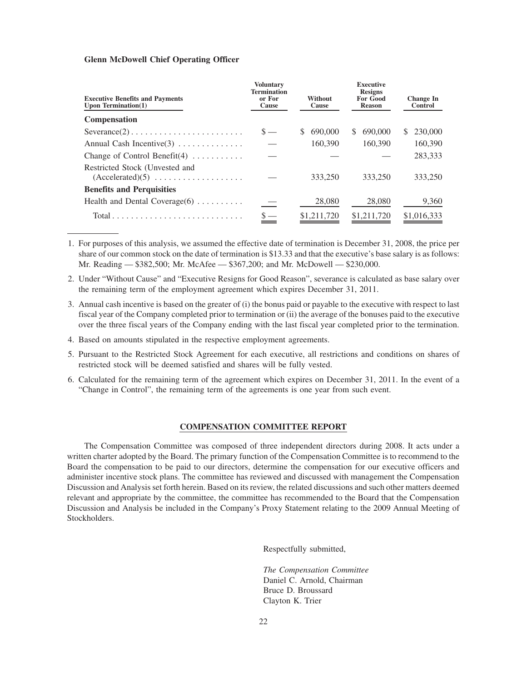# **Glenn McDowell Chief Operating Officer**

| <b>Executive Benefits and Payments</b><br>Upon Termination $(1)$ | <b>Voluntary</b><br>Termination<br>or For<br>Cause | Without<br>Cause | <b>Executive</b><br><b>Resigns</b><br><b>For Good</b><br><b>Reason</b> | <b>Change In</b><br><b>Control</b> |
|------------------------------------------------------------------|----------------------------------------------------|------------------|------------------------------------------------------------------------|------------------------------------|
| <b>Compensation</b>                                              |                                                    |                  |                                                                        |                                    |
| $Severance(2) \ldots \ldots \ldots \ldots \ldots \ldots \ldots$  | $s =$                                              | 690,000<br>\$.   | 690,000<br>S.                                                          | 230,000<br>S.                      |
| Annual Cash Incentive $(3)$                                      |                                                    | 160,390          | 160,390                                                                | 160,390                            |
| Change of Control Benefit $(4)$                                  |                                                    |                  |                                                                        | 283,333                            |
| Restricted Stock (Unvested and                                   |                                                    | 333,250          | 333,250                                                                | 333,250                            |
| <b>Benefits and Perquisities</b>                                 |                                                    |                  |                                                                        |                                    |
| Health and Dental Coverage $(6)$                                 |                                                    | 28,080           | 28,080                                                                 | 9,360                              |
|                                                                  |                                                    | \$1,211,720      | \$1,211,720                                                            | \$1,016,333                        |

1. For purposes of this analysis, we assumed the effective date of termination is December 31, 2008, the price per share of our common stock on the date of termination is \$13.33 and that the executive's base salary is as follows: Mr. Reading — \$382,500; Mr. McAfee — \$367,200; and Mr. McDowell — \$230,000.

- 2. Under "Without Cause" and "Executive Resigns for Good Reason", severance is calculated as base salary over the remaining term of the employment agreement which expires December 31, 2011.
- 3. Annual cash incentive is based on the greater of (i) the bonus paid or payable to the executive with respect to last fiscal year of the Company completed prior to termination or (ii) the average of the bonuses paid to the executive over the three fiscal years of the Company ending with the last fiscal year completed prior to the termination.
- 4. Based on amounts stipulated in the respective employment agreements.
- 5. Pursuant to the Restricted Stock Agreement for each executive, all restrictions and conditions on shares of restricted stock will be deemed satisfied and shares will be fully vested.
- 6. Calculated for the remaining term of the agreement which expires on December 31, 2011. In the event of a "Change in Control", the remaining term of the agreements is one year from such event.

# **COMPENSATION COMMITTEE REPORT**

The Compensation Committee was composed of three independent directors during 2008. It acts under a written charter adopted by the Board. The primary function of the Compensation Committee is to recommend to the Board the compensation to be paid to our directors, determine the compensation for our executive officers and administer incentive stock plans. The committee has reviewed and discussed with management the Compensation Discussion and Analysis set forth herein. Based on its review, the related discussions and such other matters deemed relevant and appropriate by the committee, the committee has recommended to the Board that the Compensation Discussion and Analysis be included in the Company's Proxy Statement relating to the 2009 Annual Meeting of Stockholders.

Respectfully submitted,

*The Compensation Committee* Daniel C. Arnold, Chairman Bruce D. Broussard Clayton K. Trier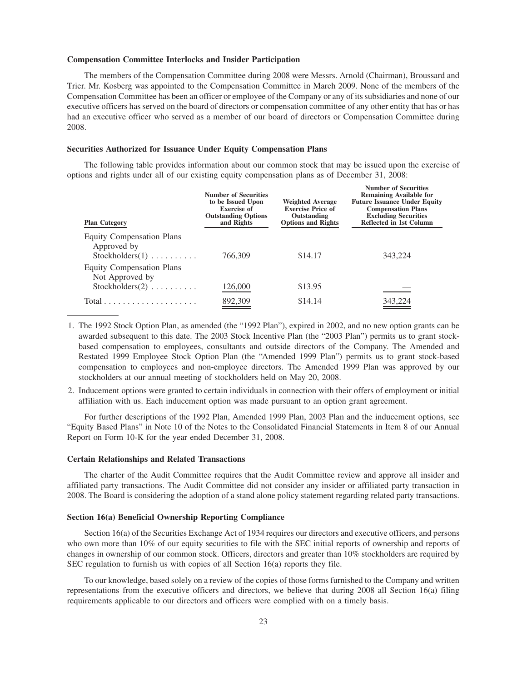#### **Compensation Committee Interlocks and Insider Participation**

The members of the Compensation Committee during 2008 were Messrs. Arnold (Chairman), Broussard and Trier. Mr. Kosberg was appointed to the Compensation Committee in March 2009. None of the members of the Compensation Committee has been an officer or employee of the Company or any of its subsidiaries and none of our executive officers has served on the board of directors or compensation committee of any other entity that has or has had an executive officer who served as a member of our board of directors or Compensation Committee during 2008.

#### **Securities Authorized for Issuance Under Equity Compensation Plans**

The following table provides information about our common stock that may be issued upon the exercise of options and rights under all of our existing equity compensation plans as of December 31, 2008:

| <b>Plan Category</b>                                                                      | <b>Number of Securities</b><br>to be Issued Upon<br><b>Exercise of</b><br><b>Outstanding Options</b><br>and Rights | <b>Weighted Average</b><br><b>Exercise Price of</b><br>Outstanding<br><b>Options and Rights</b> | <b>Number of Securities</b><br><b>Remaining Available for</b><br><b>Future Issuance Under Equity</b><br><b>Compensation Plans</b><br><b>Excluding Securities</b><br>Reflected in 1st Column |  |
|-------------------------------------------------------------------------------------------|--------------------------------------------------------------------------------------------------------------------|-------------------------------------------------------------------------------------------------|---------------------------------------------------------------------------------------------------------------------------------------------------------------------------------------------|--|
| <b>Equity Compensation Plans</b><br>Approved by<br>$Stockholders(1) \ldots \ldots \ldots$ | 766,309                                                                                                            | \$14.17                                                                                         | 343,224                                                                                                                                                                                     |  |
| <b>Equity Compensation Plans</b><br>Not Approved by<br>Stockholders $(2)$                 | 126,000                                                                                                            | \$13.95                                                                                         |                                                                                                                                                                                             |  |
| Total                                                                                     | 892,309                                                                                                            | \$14.14                                                                                         | 343,224                                                                                                                                                                                     |  |

- 1. The 1992 Stock Option Plan, as amended (the "1992 Plan"), expired in 2002, and no new option grants can be awarded subsequent to this date. The 2003 Stock Incentive Plan (the "2003 Plan") permits us to grant stockbased compensation to employees, consultants and outside directors of the Company. The Amended and Restated 1999 Employee Stock Option Plan (the "Amended 1999 Plan") permits us to grant stock-based compensation to employees and non-employee directors. The Amended 1999 Plan was approved by our stockholders at our annual meeting of stockholders held on May 20, 2008.
- 2. Inducement options were granted to certain individuals in connection with their offers of employment or initial affiliation with us. Each inducement option was made pursuant to an option grant agreement.

For further descriptions of the 1992 Plan, Amended 1999 Plan, 2003 Plan and the inducement options, see "Equity Based Plans" in Note 10 of the Notes to the Consolidated Financial Statements in Item 8 of our Annual Report on Form 10-K for the year ended December 31, 2008.

### **Certain Relationships and Related Transactions**

The charter of the Audit Committee requires that the Audit Committee review and approve all insider and affiliated party transactions. The Audit Committee did not consider any insider or affiliated party transaction in 2008. The Board is considering the adoption of a stand alone policy statement regarding related party transactions.

#### **Section 16(a) Beneficial Ownership Reporting Compliance**

Section 16(a) of the Securities Exchange Act of 1934 requires our directors and executive officers, and persons who own more than 10% of our equity securities to file with the SEC initial reports of ownership and reports of changes in ownership of our common stock. Officers, directors and greater than 10% stockholders are required by SEC regulation to furnish us with copies of all Section 16(a) reports they file.

To our knowledge, based solely on a review of the copies of those forms furnished to the Company and written representations from the executive officers and directors, we believe that during 2008 all Section 16(a) filing requirements applicable to our directors and officers were complied with on a timely basis.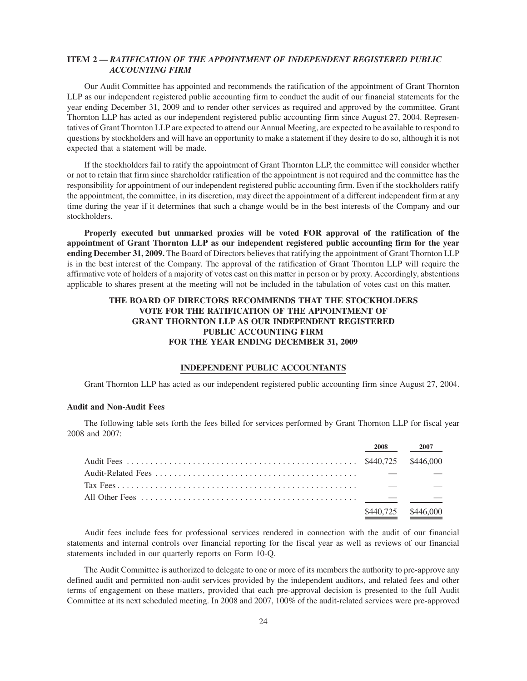# **ITEM 2 —** *RATIFICATION OF THE APPOINTMENT OF INDEPENDENT REGISTERED PUBLIC ACCOUNTING FIRM*

Our Audit Committee has appointed and recommends the ratification of the appointment of Grant Thornton LLP as our independent registered public accounting firm to conduct the audit of our financial statements for the year ending December 31, 2009 and to render other services as required and approved by the committee. Grant Thornton LLP has acted as our independent registered public accounting firm since August 27, 2004. Representatives of Grant Thornton LLP are expected to attend our Annual Meeting, are expected to be available to respond to questions by stockholders and will have an opportunity to make a statement if they desire to do so, although it is not expected that a statement will be made.

If the stockholders fail to ratify the appointment of Grant Thornton LLP, the committee will consider whether or not to retain that firm since shareholder ratification of the appointment is not required and the committee has the responsibility for appointment of our independent registered public accounting firm. Even if the stockholders ratify the appointment, the committee, in its discretion, may direct the appointment of a different independent firm at any time during the year if it determines that such a change would be in the best interests of the Company and our stockholders.

**Properly executed but unmarked proxies will be voted FOR approval of the ratification of the appointment of Grant Thornton LLP as our independent registered public accounting firm for the year ending December 31, 2009.** The Board of Directors believes that ratifying the appointment of Grant Thornton LLP is in the best interest of the Company. The approval of the ratification of Grant Thornton LLP will require the affirmative vote of holders of a majority of votes cast on this matter in person or by proxy. Accordingly, abstentions applicable to shares present at the meeting will not be included in the tabulation of votes cast on this matter.

# **THE BOARD OF DIRECTORS RECOMMENDS THAT THE STOCKHOLDERS VOTE FOR THE RATIFICATION OF THE APPOINTMENT OF GRANT THORNTON LLP AS OUR INDEPENDENT REGISTERED PUBLIC ACCOUNTING FIRM FOR THE YEAR ENDING DECEMBER 31, 2009**

# **INDEPENDENT PUBLIC ACCOUNTANTS**

Grant Thornton LLP has acted as our independent registered public accounting firm since August 27, 2004.

# **Audit and Non-Audit Fees**

The following table sets forth the fees billed for services performed by Grant Thornton LLP for fiscal year 2008 and 2007:

| 2008      | 2007      |
|-----------|-----------|
|           |           |
|           |           |
|           |           |
|           |           |
| \$440,725 | \$446,000 |

Audit fees include fees for professional services rendered in connection with the audit of our financial statements and internal controls over financial reporting for the fiscal year as well as reviews of our financial statements included in our quarterly reports on Form 10-Q.

The Audit Committee is authorized to delegate to one or more of its members the authority to pre-approve any defined audit and permitted non-audit services provided by the independent auditors, and related fees and other terms of engagement on these matters, provided that each pre-approval decision is presented to the full Audit Committee at its next scheduled meeting. In 2008 and 2007, 100% of the audit-related services were pre-approved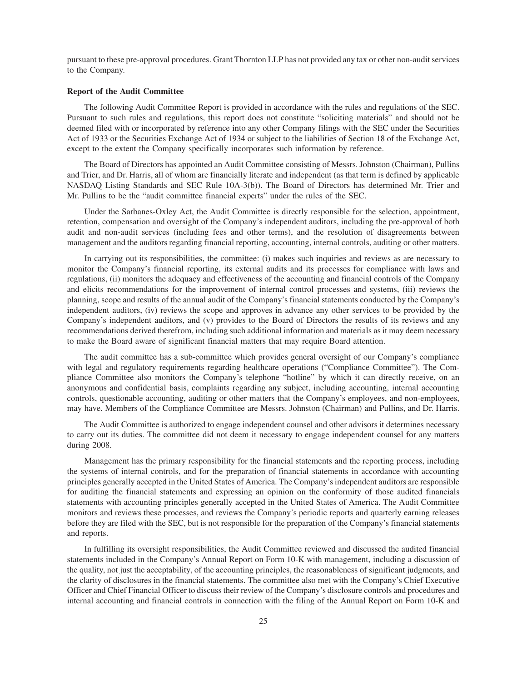pursuant to these pre-approval procedures. Grant Thornton LLP has not provided any tax or other non-audit services to the Company.

### **Report of the Audit Committee**

The following Audit Committee Report is provided in accordance with the rules and regulations of the SEC. Pursuant to such rules and regulations, this report does not constitute "soliciting materials" and should not be deemed filed with or incorporated by reference into any other Company filings with the SEC under the Securities Act of 1933 or the Securities Exchange Act of 1934 or subject to the liabilities of Section 18 of the Exchange Act, except to the extent the Company specifically incorporates such information by reference.

The Board of Directors has appointed an Audit Committee consisting of Messrs. Johnston (Chairman), Pullins and Trier, and Dr. Harris, all of whom are financially literate and independent (as that term is defined by applicable NASDAQ Listing Standards and SEC Rule 10A-3(b)). The Board of Directors has determined Mr. Trier and Mr. Pullins to be the "audit committee financial experts" under the rules of the SEC.

Under the Sarbanes-Oxley Act, the Audit Committee is directly responsible for the selection, appointment, retention, compensation and oversight of the Company's independent auditors, including the pre-approval of both audit and non-audit services (including fees and other terms), and the resolution of disagreements between management and the auditors regarding financial reporting, accounting, internal controls, auditing or other matters.

In carrying out its responsibilities, the committee: (i) makes such inquiries and reviews as are necessary to monitor the Company's financial reporting, its external audits and its processes for compliance with laws and regulations, (ii) monitors the adequacy and effectiveness of the accounting and financial controls of the Company and elicits recommendations for the improvement of internal control processes and systems, (iii) reviews the planning, scope and results of the annual audit of the Company's financial statements conducted by the Company's independent auditors, (iv) reviews the scope and approves in advance any other services to be provided by the Company's independent auditors, and (v) provides to the Board of Directors the results of its reviews and any recommendations derived therefrom, including such additional information and materials as it may deem necessary to make the Board aware of significant financial matters that may require Board attention.

The audit committee has a sub-committee which provides general oversight of our Company's compliance with legal and regulatory requirements regarding healthcare operations ("Compliance Committee"). The Compliance Committee also monitors the Company's telephone "hotline" by which it can directly receive, on an anonymous and confidential basis, complaints regarding any subject, including accounting, internal accounting controls, questionable accounting, auditing or other matters that the Company's employees, and non-employees, may have. Members of the Compliance Committee are Messrs. Johnston (Chairman) and Pullins, and Dr. Harris.

The Audit Committee is authorized to engage independent counsel and other advisors it determines necessary to carry out its duties. The committee did not deem it necessary to engage independent counsel for any matters during 2008.

Management has the primary responsibility for the financial statements and the reporting process, including the systems of internal controls, and for the preparation of financial statements in accordance with accounting principles generally accepted in the United States of America. The Company's independent auditors are responsible for auditing the financial statements and expressing an opinion on the conformity of those audited financials statements with accounting principles generally accepted in the United States of America. The Audit Committee monitors and reviews these processes, and reviews the Company's periodic reports and quarterly earning releases before they are filed with the SEC, but is not responsible for the preparation of the Company's financial statements and reports.

In fulfilling its oversight responsibilities, the Audit Committee reviewed and discussed the audited financial statements included in the Company's Annual Report on Form 10-K with management, including a discussion of the quality, not just the acceptability, of the accounting principles, the reasonableness of significant judgments, and the clarity of disclosures in the financial statements. The committee also met with the Company's Chief Executive Officer and Chief Financial Officer to discuss their review of the Company's disclosure controls and procedures and internal accounting and financial controls in connection with the filing of the Annual Report on Form 10-K and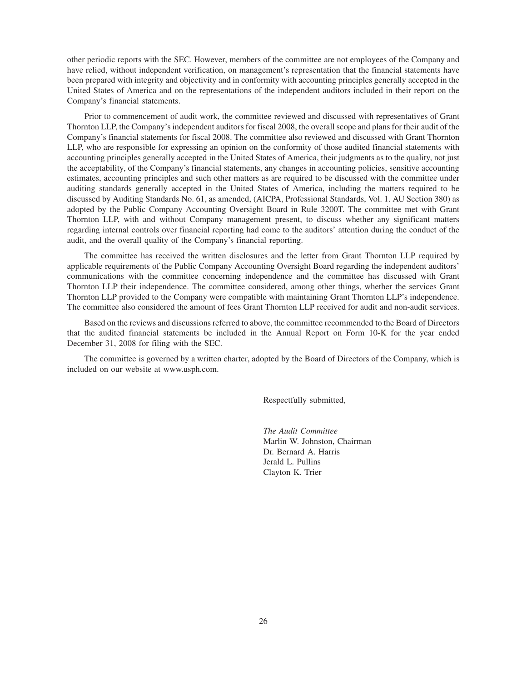other periodic reports with the SEC. However, members of the committee are not employees of the Company and have relied, without independent verification, on management's representation that the financial statements have been prepared with integrity and objectivity and in conformity with accounting principles generally accepted in the United States of America and on the representations of the independent auditors included in their report on the Company's financial statements.

Prior to commencement of audit work, the committee reviewed and discussed with representatives of Grant Thornton LLP, the Company's independent auditors for fiscal 2008, the overall scope and plans for their audit of the Company's financial statements for fiscal 2008. The committee also reviewed and discussed with Grant Thornton LLP, who are responsible for expressing an opinion on the conformity of those audited financial statements with accounting principles generally accepted in the United States of America, their judgments as to the quality, not just the acceptability, of the Company's financial statements, any changes in accounting policies, sensitive accounting estimates, accounting principles and such other matters as are required to be discussed with the committee under auditing standards generally accepted in the United States of America, including the matters required to be discussed by Auditing Standards No. 61, as amended, (AICPA, Professional Standards, Vol. 1. AU Section 380) as adopted by the Public Company Accounting Oversight Board in Rule 3200T. The committee met with Grant Thornton LLP, with and without Company management present, to discuss whether any significant matters regarding internal controls over financial reporting had come to the auditors' attention during the conduct of the audit, and the overall quality of the Company's financial reporting.

The committee has received the written disclosures and the letter from Grant Thornton LLP required by applicable requirements of the Public Company Accounting Oversight Board regarding the independent auditors' communications with the committee concerning independence and the committee has discussed with Grant Thornton LLP their independence. The committee considered, among other things, whether the services Grant Thornton LLP provided to the Company were compatible with maintaining Grant Thornton LLP's independence. The committee also considered the amount of fees Grant Thornton LLP received for audit and non-audit services.

Based on the reviews and discussions referred to above, the committee recommended to the Board of Directors that the audited financial statements be included in the Annual Report on Form 10-K for the year ended December 31, 2008 for filing with the SEC.

The committee is governed by a written charter, adopted by the Board of Directors of the Company, which is included on our website at www.usph.com.

Respectfully submitted,

*The Audit Committee* Marlin W. Johnston, Chairman Dr. Bernard A. Harris Jerald L. Pullins Clayton K. Trier